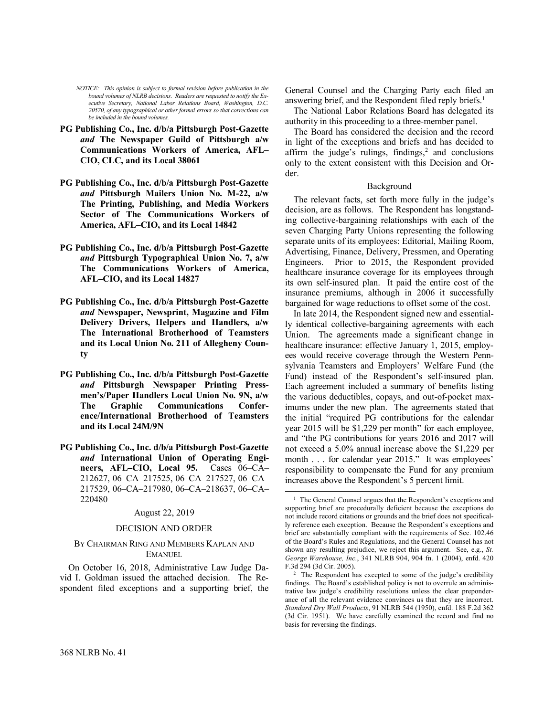*NOTICE: This opinion is subject to formal revision before publication in the bound volumes of NLRB decisions. Readers are requested to notify the Executive Secretary, National Labor Relations Board, Washington, D.C. 20570, of any typographical or other formal errors so that corrections can be included in the bound volumes.*

- **PG Publishing Co., Inc. d/b/a Pittsburgh Post-Gazette** *and* **The Newspaper Guild of Pittsburgh a/w Communications Workers of America, AFL– CIO, CLC, and its Local 38061**
- **PG Publishing Co., Inc. d/b/a Pittsburgh Post-Gazette**  *and* **Pittsburgh Mailers Union No. M-22, a/w The Printing, Publishing, and Media Workers Sector of The Communications Workers of America, AFL–CIO, and its Local 14842**
- **PG Publishing Co., Inc. d/b/a Pittsburgh Post-Gazette**  *and* **Pittsburgh Typographical Union No. 7, a/w The Communications Workers of America, AFL–CIO, and its Local 14827**
- **PG Publishing Co., Inc. d/b/a Pittsburgh Post-Gazette**  *and* **Newspaper, Newsprint, Magazine and Film Delivery Drivers, Helpers and Handlers, a/w The International Brotherhood of Teamsters and its Local Union No. 211 of Allegheny County**
- **PG Publishing Co., Inc. d/b/a Pittsburgh Post-Gazette**  *and* **Pittsburgh Newspaper Printing Pressmen's/Paper Handlers Local Union No. 9N, a/w The Graphic Communications Conference/International Brotherhood of Teamsters and its Local 24M/9N**
- **PG Publishing Co., Inc. d/b/a Pittsburgh Post-Gazette**  *and* **International Union of Operating Engineers, AFL–CIO, Local 95.** Cases 06–CA– 212627, 06–CA–217525, 06–CA–217527, 06–CA– 217529, 06–CA–217980, 06–CA–218637, 06–CA– 220480

# August 22, 2019

# DECISION AND ORDER

# BY CHAIRMAN RING AND MEMBERS KAPLAN AND EMANUEL

On October 16, 2018, Administrative Law Judge David I. Goldman issued the attached decision. The Respondent filed exceptions and a supporting brief, the General Counsel and the Charging Party each filed an answering brief, and the Respondent filed reply briefs.<sup>1</sup>

The National Labor Relations Board has delegated its authority in this proceeding to a three-member panel.

The Board has considered the decision and the record in light of the exceptions and briefs and has decided to affirm the judge's rulings, findings,<sup>2</sup> and conclusions only to the extent consistent with this Decision and Order.

## Background

The relevant facts, set forth more fully in the judge's decision, are as follows. The Respondent has longstanding collective-bargaining relationships with each of the seven Charging Party Unions representing the following separate units of its employees: Editorial, Mailing Room, Advertising, Finance, Delivery, Pressmen, and Operating Engineers. Prior to 2015, the Respondent provided healthcare insurance coverage for its employees through its own self-insured plan. It paid the entire cost of the insurance premiums, although in 2006 it successfully bargained for wage reductions to offset some of the cost.

In late 2014, the Respondent signed new and essentially identical collective-bargaining agreements with each Union. The agreements made a significant change in healthcare insurance: effective January 1, 2015, employees would receive coverage through the Western Pennsylvania Teamsters and Employers' Welfare Fund (the Fund) instead of the Respondent's self-insured plan. Each agreement included a summary of benefits listing the various deductibles, copays, and out-of-pocket maximums under the new plan. The agreements stated that the initial "required PG contributions for the calendar year 2015 will be \$1,229 per month" for each employee, and "the PG contributions for years 2016 and 2017 will not exceed a 5.0% annual increase above the \$1,229 per month . . . for calendar year 2015." It was employees' responsibility to compensate the Fund for any premium increases above the Respondent's 5 percent limit.

<sup>&</sup>lt;sup>1</sup> The General Counsel argues that the Respondent's exceptions and supporting brief are procedurally deficient because the exceptions do not include record citations or grounds and the brief does not specifically reference each exception. Because the Respondent's exceptions and brief are substantially compliant with the requirements of Sec. 102.46 of the Board's Rules and Regulations, and the General Counsel has not shown any resulting prejudice, we reject this argument. See, e.g., *St. George Warehouse, Inc.*, 341 NLRB 904, 904 fn. 1 (2004), enfd. 420 F.3d 294 (3d Cir. 2005).

<sup>&</sup>lt;sup>2</sup> The Respondent has excepted to some of the judge's credibility findings. The Board's established policy is not to overrule an administrative law judge's credibility resolutions unless the clear preponderance of all the relevant evidence convinces us that they are incorrect. *Standard Dry Wall Products*, 91 NLRB 544 (1950), enfd. 188 F.2d 362 (3d Cir. 1951). We have carefully examined the record and find no basis for reversing the findings.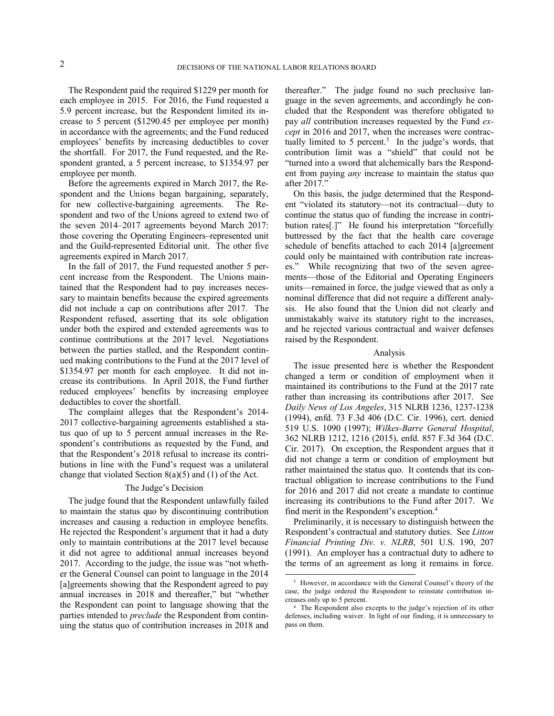The Respondent paid the required \$1229 per month for each employee in 2015. For 2016, the Fund requested a 5.9 percent increase, but the Respondent limited its increase to 5 percent (\$1290.45 per employee per month) in accordance with the agreements; and the Fund reduced employees' benefits by increasing deductibles to cover the shortfall. For 2017, the Fund requested, and the Respondent granted, a 5 percent increase, to \$1354.97 per employee per month.

Before the agreements expired in March 2017, the Respondent and the Unions began bargaining, separately, for new collective-bargaining agreements. The Respondent and two of the Unions agreed to extend two of the seven 2014–2017 agreements beyond March 2017: those covering the Operating Engineers–represented unit and the Guild-represented Editorial unit. The other five agreements expired in March 2017.

In the fall of 2017, the Fund requested another 5 percent increase from the Respondent. The Unions maintained that the Respondent had to pay increases necessary to maintain benefits because the expired agreements did not include a cap on contributions after 2017. The Respondent refused, asserting that its sole obligation under both the expired and extended agreements was to continue contributions at the 2017 level. Negotiations between the parties stalled, and the Respondent continued making contributions to the Fund at the 2017 level of \$1354.97 per month for each employee. It did not increase its contributions. In April 2018, the Fund further reduced employees' benefits by increasing employee deductibles to cover the shortfall.

The complaint alleges that the Respondent's 2014- 2017 collective-bargaining agreements established a status quo of up to 5 percent annual increases in the Respondent's contributions as requested by the Fund, and that the Respondent's 2018 refusal to increase its contributions in line with the Fund's request was a unilateral change that violated Section  $8(a)(5)$  and  $(1)$  of the Act.

## The Judge's Decision

The judge found that the Respondent unlawfully failed to maintain the status quo by discontinuing contribution increases and causing a reduction in employee benefits. He rejected the Respondent's argument that it had a duty only to maintain contributions at the 2017 level because it did not agree to additional annual increases beyond 2017. According to the judge, the issue was "not whether the General Counsel can point to language in the 2014 [a]greements showing that the Respondent agreed to pay annual increases in 2018 and thereafter," but "whether the Respondent can point to language showing that the parties intended to *preclude* the Respondent from continuing the status quo of contribution increases in 2018 and thereafter." The judge found no such preclusive language in the seven agreements, and accordingly he concluded that the Respondent was therefore obligated to pay *all* contribution increases requested by the Fund *except* in 2016 and 2017, when the increases were contractually limited to 5 percent.<sup>3</sup> In the judge's words, that contribution limit was a "shield" that could not be "turned into a sword that alchemically bars the Respondent from paying *any* increase to maintain the status quo after 2017."

On this basis, the judge determined that the Respondent "violated its statutory—not its contractual—duty to continue the status quo of funding the increase in contribution rates[.]" He found his interpretation "forcefully buttressed by the fact that the health care coverage schedule of benefits attached to each 2014 [a]greement could only be maintained with contribution rate increases." While recognizing that two of the seven agreements—those of the Editorial and Operating Engineers units—remained in force, the judge viewed that as only a nominal difference that did not require a different analysis. He also found that the Union did not clearly and unmistakably waive its statutory right to the increases, and he rejected various contractual and waiver defenses raised by the Respondent.

## Analysis

The issue presented here is whether the Respondent changed a term or condition of employment when it maintained its contributions to the Fund at the 2017 rate rather than increasing its contributions after 2017. See *Daily News of Los Angeles*, 315 NLRB 1236, 1237-1238 (1994), enfd. 73 F.3d 406 (D.C. Cir. 1996), cert. denied 519 U.S. 1090 (1997); *Wilkes-Barre General Hospital*, 362 NLRB 1212, 1216 (2015), enfd. 857 F.3d 364 (D.C. Cir. 2017). On exception, the Respondent argues that it did not change a term or condition of employment but rather maintained the status quo. It contends that its contractual obligation to increase contributions to the Fund for 2016 and 2017 did not create a mandate to continue increasing its contributions to the Fund after 2017. We find merit in the Respondent's exception.<sup>4</sup>

Preliminarily, it is necessary to distinguish between the Respondent's contractual and statutory duties. See *Litton Financial Printing Div. v. NLRB*, 501 U.S. 190, 207 (1991). An employer has a contractual duty to adhere to the terms of an agreement as long it remains in force.

<sup>&</sup>lt;sup>3</sup> However, in accordance with the General Counsel's theory of the case, the judge ordered the Respondent to reinstate contribution increases only up to 5 percent.

<sup>4</sup> The Respondent also excepts to the judge's rejection of its other defenses, including waiver. In light of our finding, it is unnecessary to pass on them.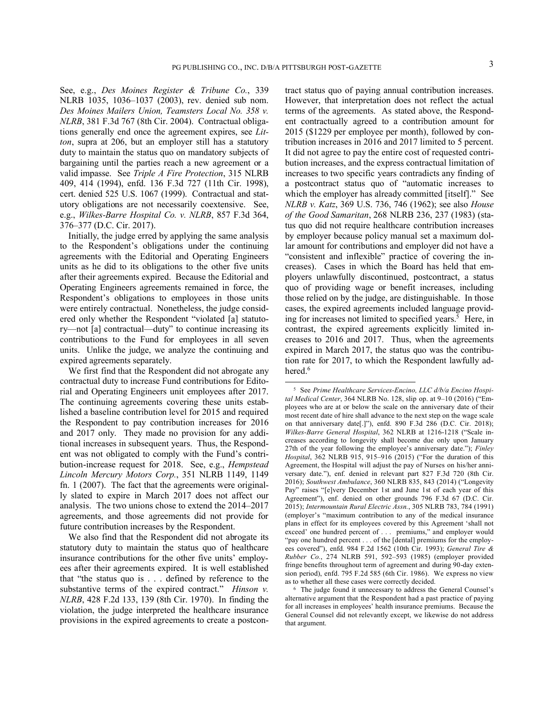See, e.g., *Des Moines Register & Tribune Co.*, 339 NLRB 1035, 1036–1037 (2003), rev. denied sub nom. *Des Moines Mailers Union, Teamsters Local No. 358 v. NLRB*, 381 F.3d 767 (8th Cir. 2004). Contractual obligations generally end once the agreement expires, see *Litton*, supra at 206, but an employer still has a statutory duty to maintain the status quo on mandatory subjects of bargaining until the parties reach a new agreement or a valid impasse. See *Triple A Fire Protection*, 315 NLRB 409, 414 (1994), enfd. 136 F.3d 727 (11th Cir. 1998), cert. denied 525 U.S. 1067 (1999). Contractual and statutory obligations are not necessarily coextensive. See, e.g., *Wilkes-Barre Hospital Co. v. NLRB*, 857 F.3d 364, 376–377 (D.C. Cir. 2017).

Initially, the judge erred by applying the same analysis to the Respondent's obligations under the continuing agreements with the Editorial and Operating Engineers units as he did to its obligations to the other five units after their agreements expired. Because the Editorial and Operating Engineers agreements remained in force, the Respondent's obligations to employees in those units were entirely contractual. Nonetheless, the judge considered only whether the Respondent "violated [a] statutory—not [a] contractual—duty" to continue increasing its contributions to the Fund for employees in all seven units. Unlike the judge, we analyze the continuing and expired agreements separately.

We first find that the Respondent did not abrogate any contractual duty to increase Fund contributions for Editorial and Operating Engineers unit employees after 2017. The continuing agreements covering these units established a baseline contribution level for 2015 and required the Respondent to pay contribution increases for 2016 and 2017 only. They made no provision for any additional increases in subsequent years. Thus, the Respondent was not obligated to comply with the Fund's contribution-increase request for 2018. See, e.g., *Hempstead Lincoln Mercury Motors Corp.*, 351 NLRB 1149, 1149 fn. 1 (2007). The fact that the agreements were originally slated to expire in March 2017 does not affect our analysis. The two unions chose to extend the 2014–2017 agreements, and those agreements did not provide for future contribution increases by the Respondent.

We also find that the Respondent did not abrogate its statutory duty to maintain the status quo of healthcare insurance contributions for the other five units' employees after their agreements expired. It is well established that "the status quo is . . . defined by reference to the substantive terms of the expired contract." *Hinson v. NLRB*, 428 F.2d 133, 139 (8th Cir. 1970). In finding the violation, the judge interpreted the healthcare insurance provisions in the expired agreements to create a postcontract status quo of paying annual contribution increases. However, that interpretation does not reflect the actual terms of the agreements. As stated above, the Respondent contractually agreed to a contribution amount for 2015 (\$1229 per employee per month), followed by contribution increases in 2016 and 2017 limited to 5 percent. It did not agree to pay the entire cost of requested contribution increases, and the express contractual limitation of increases to two specific years contradicts any finding of a postcontract status quo of "automatic increases to which the employer has already committed [itself]." See *NLRB v. Katz*, 369 U.S. 736, 746 (1962); see also *House of the Good Samaritan*, 268 NLRB 236, 237 (1983) (status quo did not require healthcare contribution increases by employer because policy manual set a maximum dollar amount for contributions and employer did not have a "consistent and inflexible" practice of covering the increases). Cases in which the Board has held that employers unlawfully discontinued, postcontract, a status quo of providing wage or benefit increases, including those relied on by the judge, are distinguishable. In those cases, the expired agreements included language providing for increases not limited to specified years.<sup>5</sup> Here, in contrast, the expired agreements explicitly limited increases to 2016 and 2017. Thus, when the agreements expired in March 2017, the status quo was the contribution rate for 2017, to which the Respondent lawfully adhered.<sup>6</sup>

<sup>5</sup> See *Prime Healthcare Services-Encino, LLC d/b/a Encino Hospital Medical Center*, 364 NLRB No. 128, slip op. at 9–10 (2016) ("Employees who are at or below the scale on the anniversary date of their most recent date of hire shall advance to the next step on the wage scale on that anniversary date[.]"), enfd. 890 F.3d 286 (D.C. Cir. 2018); *Wilkes-Barre General Hospital*, 362 NLRB at 1216-1218 ("Scale increases according to longevity shall become due only upon January 27th of the year following the employee's anniversary date."); *Finley Hospital*, 362 NLRB 915, 915–916 (2015) ("For the duration of this Agreement, the Hospital will adjust the pay of Nurses on his/her anniversary date."), enf. denied in relevant part 827 F.3d 720 (8th Cir. 2016); *Southwest Ambulance*, 360 NLRB 835, 843 (2014) ("Longevity Pay" raises "[e]very December 1st and June 1st of each year of this Agreement"), enf. denied on other grounds 796 F.3d 67 (D.C. Cir. 2015); *Intermountain Rural Electric Assn.*, 305 NLRB 783, 784 (1991) (employer's "maximum contribution to any of the medical insurance plans in effect for its employees covered by this Agreement 'shall not exceed' one hundred percent of . . . premiums," and employer would "pay one hundred percent . . . of the [dental] premiums for the employees covered"), enfd. 984 F.2d 1562 (10th Cir. 1993); *General Tire & Rubber Co.*, 274 NLRB 591, 592–593 (1985) (employer provided fringe benefits throughout term of agreement and during 90-day extension period), enfd. 795 F.2d 585 (6th Cir. 1986). We express no view as to whether all these cases were correctly decided.

<sup>6</sup> The judge found it unnecessary to address the General Counsel's alternative argument that the Respondent had a past practice of paying for all increases in employees' health insurance premiums. Because the General Counsel did not relevantly except, we likewise do not address that argument.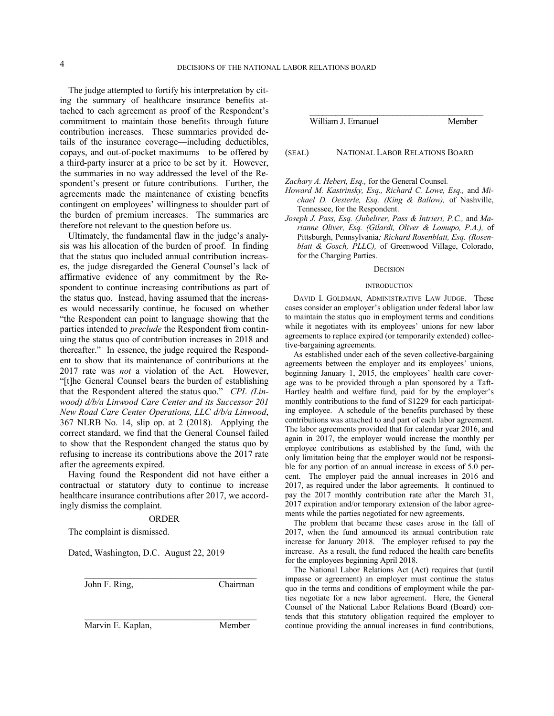The judge attempted to fortify his interpretation by citing the summary of healthcare insurance benefits attached to each agreement as proof of the Respondent's commitment to maintain those benefits through future contribution increases. These summaries provided details of the insurance coverage—including deductibles, copays, and out-of-pocket maximums—to be offered by a third-party insurer at a price to be set by it. However, the summaries in no way addressed the level of the Respondent's present or future contributions. Further, the agreements made the maintenance of existing benefits contingent on employees' willingness to shoulder part of the burden of premium increases. The summaries are therefore not relevant to the question before us.

Ultimately, the fundamental flaw in the judge's analysis was his allocation of the burden of proof. In finding that the status quo included annual contribution increases, the judge disregarded the General Counsel's lack of affirmative evidence of any commitment by the Respondent to continue increasing contributions as part of the status quo. Instead, having assumed that the increases would necessarily continue, he focused on whether "the Respondent can point to language showing that the parties intended to *preclude* the Respondent from continuing the status quo of contribution increases in 2018 and thereafter." In essence, the judge required the Respondent to show that its maintenance of contributions at the 2017 rate was *not* a violation of the Act. However, "[t]he General Counsel bears the burden of establishing that the Respondent altered the status quo." *CPL (Linwood) d/b/a Linwood Care Center and its Successor 201 New Road Care Center Operations, LLC d/b/a Linwood*, 367 NLRB No. 14, slip op. at 2 (2018). Applying the correct standard, we find that the General Counsel failed to show that the Respondent changed the status quo by refusing to increase its contributions above the 2017 rate after the agreements expired.

Having found the Respondent did not have either a contractual or statutory duty to continue to increase healthcare insurance contributions after 2017, we accordingly dismiss the complaint.

### ORDER

\_\_\_\_\_\_\_\_\_\_\_\_\_\_\_\_\_\_\_\_\_\_\_\_\_\_\_\_\_\_\_\_\_\_\_\_\_\_

The complaint is dismissed.

Dated, Washington, D.C. August 22, 2019

John F. Ring, Chairman

Marvin E. Kaplan, Member

\_\_\_\_\_\_\_\_\_\_\_\_\_\_\_\_\_\_\_\_\_\_\_\_\_\_\_\_\_\_\_\_\_\_\_\_\_\_\_\_ William J. Emanuel Member

(SEAL) NATIONAL LABOR RELATIONS BOARD

*Zachary A. Hebert, Esq.,* for the General Counsel*.*

- *Howard M. Kastrinsky, Esq., Richard C. Lowe, Esq.,* and *Michael D. Oesterle, Esq. (King & Ballow),* of Nashville, Tennessee, for the Respondent.
- *Joseph J. Pass, Esq. (Jubelirer, Pass & Intrieri, P.C.,* and *Marianne Oliver, Esq. (Gilardi, Oliver & Lomupo, P.A.),* of Pittsburgh, Pennsylvania*; Richard Rosenblatt, Esq. (Rosenblatt & Gosch, PLLC),* of Greenwood Village, Colorado, for the Charging Parties.

#### **DECISION**

#### **INTRODUCTION**

DAVID I. GOLDMAN, ADMINISTRATIVE LAW JUDGE. These cases consider an employer's obligation under federal labor law to maintain the status quo in employment terms and conditions while it negotiates with its employees' unions for new labor agreements to replace expired (or temporarily extended) collective-bargaining agreements.

As established under each of the seven collective-bargaining agreements between the employer and its employees' unions, beginning January 1, 2015, the employees' health care coverage was to be provided through a plan sponsored by a Taft-Hartley health and welfare fund, paid for by the employer's monthly contributions to the fund of \$1229 for each participating employee. A schedule of the benefits purchased by these contributions was attached to and part of each labor agreement. The labor agreements provided that for calendar year 2016, and again in 2017, the employer would increase the monthly per employee contributions as established by the fund, with the only limitation being that the employer would not be responsible for any portion of an annual increase in excess of 5.0 percent. The employer paid the annual increases in 2016 and 2017, as required under the labor agreements. It continued to pay the 2017 monthly contribution rate after the March 31, 2017 expiration and/or temporary extension of the labor agreements while the parties negotiated for new agreements.

The problem that became these cases arose in the fall of 2017, when the fund announced its annual contribution rate increase for January 2018. The employer refused to pay the increase. As a result, the fund reduced the health care benefits for the employees beginning April 2018.

The National Labor Relations Act (Act) requires that (until impasse or agreement) an employer must continue the status quo in the terms and conditions of employment while the parties negotiate for a new labor agreement. Here, the General Counsel of the National Labor Relations Board (Board) contends that this statutory obligation required the employer to continue providing the annual increases in fund contributions,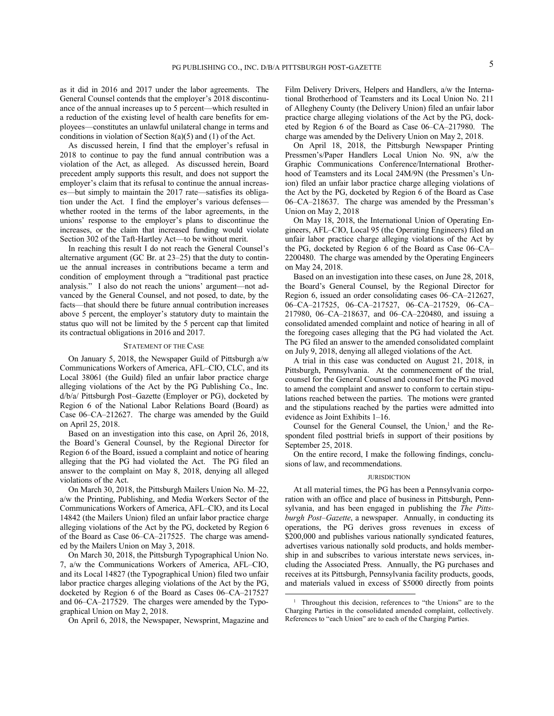as it did in 2016 and 2017 under the labor agreements. The General Counsel contends that the employer's 2018 discontinuance of the annual increases up to 5 percent—which resulted in a reduction of the existing level of health care benefits for employees—constitutes an unlawful unilateral change in terms and conditions in violation of Section 8(a)(5) and (1) of the Act.

As discussed herein, I find that the employer's refusal in 2018 to continue to pay the fund annual contribution was a violation of the Act, as alleged. As discussed herein, Board precedent amply supports this result, and does not support the employer's claim that its refusal to continue the annual increases—but simply to maintain the 2017 rate—satisfies its obligation under the Act. I find the employer's various defenses whether rooted in the terms of the labor agreements, in the unions' response to the employer's plans to discontinue the increases, or the claim that increased funding would violate Section 302 of the Taft-Hartley Act—to be without merit.

In reaching this result I do not reach the General Counsel's alternative argument (GC Br. at 23–25) that the duty to continue the annual increases in contributions became a term and condition of employment through a "traditional past practice analysis." I also do not reach the unions' argument—not advanced by the General Counsel, and not posed, to date, by the facts—that should there be future annual contribution increases above 5 percent, the employer's statutory duty to maintain the status quo will not be limited by the 5 percent cap that limited its contractual obligations in 2016 and 2017.

### STATEMENT OF THE CASE

On January 5, 2018, the Newspaper Guild of Pittsburgh a/w Communications Workers of America, AFL–CIO, CLC, and its Local 38061 (the Guild) filed an unfair labor practice charge alleging violations of the Act by the PG Publishing Co., Inc. d/b/a/ Pittsburgh Post–Gazette (Employer or PG), docketed by Region 6 of the National Labor Relations Board (Board) as Case 06–CA–212627. The charge was amended by the Guild on April 25, 2018.

Based on an investigation into this case, on April 26, 2018, the Board's General Counsel, by the Regional Director for Region 6 of the Board, issued a complaint and notice of hearing alleging that the PG had violated the Act. The PG filed an answer to the complaint on May 8, 2018, denying all alleged violations of the Act.

On March 30, 2018, the Pittsburgh Mailers Union No. M–22, a/w the Printing, Publishing, and Media Workers Sector of the Communications Workers of America, AFL–CIO, and its Local 14842 (the Mailers Union) filed an unfair labor practice charge alleging violations of the Act by the PG, docketed by Region 6 of the Board as Case 06–CA–217525. The charge was amended by the Mailers Union on May 3, 2018.

On March 30, 2018, the Pittsburgh Typographical Union No. 7, a/w the Communications Workers of America, AFL–CIO, and its Local 14827 (the Typographical Union) filed two unfair labor practice charges alleging violations of the Act by the PG, docketed by Region 6 of the Board as Cases 06–CA–217527 and 06–CA–217529. The charges were amended by the Typographical Union on May 2, 2018.

On April 6, 2018, the Newspaper, Newsprint, Magazine and

Film Delivery Drivers, Helpers and Handlers, a/w the International Brotherhood of Teamsters and its Local Union No. 211 of Allegheny County (the Delivery Union) filed an unfair labor practice charge alleging violations of the Act by the PG, docketed by Region 6 of the Board as Case 06–CA–217980. The charge was amended by the Delivery Union on May 2, 2018.

On April 18, 2018, the Pittsburgh Newspaper Printing Pressmen's/Paper Handlers Local Union No. 9N, a/w the Graphic Communications Conference/International Brotherhood of Teamsters and its Local 24M/9N (the Pressmen's Union) filed an unfair labor practice charge alleging violations of the Act by the PG, docketed by Region 6 of the Board as Case 06–CA–218637. The charge was amended by the Pressman's Union on May 2, 2018

On May 18, 2018, the International Union of Operating Engineers, AFL–CIO, Local 95 (the Operating Engineers) filed an unfair labor practice charge alleging violations of the Act by the PG, docketed by Region 6 of the Board as Case 06–CA– 2200480. The charge was amended by the Operating Engineers on May 24, 2018.

Based on an investigation into these cases, on June 28, 2018, the Board's General Counsel, by the Regional Director for Region 6, issued an order consolidating cases 06–CA–212627, 06–CA–217525, 06–CA–217527, 06–CA–217529, 06–CA– 217980, 06–CA–218637, and 06–CA–220480, and issuing a consolidated amended complaint and notice of hearing in all of the foregoing cases alleging that the PG had violated the Act. The PG filed an answer to the amended consolidated complaint on July 9, 2018, denying all alleged violations of the Act.

A trial in this case was conducted on August 21, 2018, in Pittsburgh, Pennsylvania. At the commencement of the trial, counsel for the General Counsel and counsel for the PG moved to amend the complaint and answer to conform to certain stipulations reached between the parties. The motions were granted and the stipulations reached by the parties were admitted into evidence as Joint Exhibits 1–16.

Counsel for the General Counsel, the Union,<sup>1</sup> and the Respondent filed posttrial briefs in support of their positions by September 25, 2018.

On the entire record, I make the following findings, conclusions of law, and recommendations.

#### **JURISDICTION**

At all material times, the PG has been a Pennsylvania corporation with an office and place of business in Pittsburgh, Pennsylvania, and has been engaged in publishing the *The Pittsburgh Post–Gazette*, a newspaper. Annually, in conducting its operations, the PG derives gross revenues in excess of \$200,000 and publishes various nationally syndicated features, advertises various nationally sold products, and holds membership in and subscribes to various interstate news services, including the Associated Press. Annually, the PG purchases and receives at its Pittsburgh, Pennsylvania facility products, goods, and materials valued in excess of \$5000 directly from points

<sup>&</sup>lt;sup>1</sup> Throughout this decision, references to "the Unions" are to the Charging Parties in the consolidated amended complaint, collectively. References to "each Union" are to each of the Charging Parties.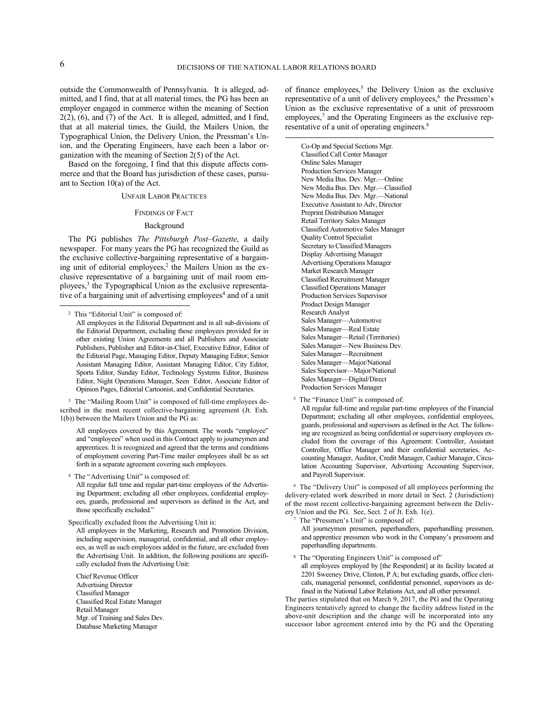-

outside the Commonwealth of Pennsylvania. It is alleged, admitted, and I find, that at all material times, the PG has been an employer engaged in commerce within the meaning of Section 2(2), (6), and (7) of the Act. It is alleged, admitted, and I find, that at all material times, the Guild, the Mailers Union, the Typographical Union, the Delivery Union, the Pressman's Union, and the Operating Engineers, have each been a labor organization with the meaning of Section 2(5) of the Act.

Based on the foregoing, I find that this dispute affects commerce and that the Board has jurisdiction of these cases, pursuant to Section 10(a) of the Act.

### UNFAIR LABOR PRACTICES

### FINDINGS OF FACT

### Background

The PG publishes *The Pittsburgh Post–Gazette*, a daily newspaper. For many years the PG has recognized the Guild as the exclusive collective-bargaining representative of a bargaining unit of editorial employees,<sup>2</sup> the Mailers Union as the exclusive representative of a bargaining unit of mail room employees,<sup>3</sup> the Typographical Union as the exclusive representative of a bargaining unit of advertising employees<sup>4</sup> and of a unit

<sup>3</sup> The "Mailing Room Unit" is composed of full-time employees described in the most recent collective-bargaining agreement (Jt. Exh. 1(b)) between the Mailers Union and the PG as:

All employees covered by this Agreement. The words "employee" and "employees" when used in this Contract apply to journeymen and apprentices. It is recognized and agreed that the terms and conditions of employment covering Part-Time mailer employees shall be as set forth in a separate agreement covering such employees.

4 The "Advertising Unit" is composed of:

All regular full time and regular part-time employees of the Advertising Department; excluding all other employees, confidential employees, guards, professional and supervisors as defined in the Act, and those specifically excluded."

Specifically excluded from the Advertising Unit is:

All employees in the Marketing, Research and Promotion Division, including supervision, managerial, confidential, and all other employees, as well as such employees added in the future, are excluded from the Advertising Unit. In addition, the following positions are specifically excluded from the Advertising Unit:

Chief Revenue Officer Advertising Director Classified Manager Classified Real Estate Manager Retail Manager Mgr. of Training and Sales Dev. Database Marketing Manager

of finance employees,<sup>5</sup> the Delivery Union as the exclusive representative of a unit of delivery employees,<sup>6</sup> the Pressmen's Union as the exclusive representative of a unit of pressroom employees,<sup>7</sup> and the Operating Engineers as the exclusive representative of a unit of operating engineers. 8

Co-Op and Special Sections Mgr. Classified Call Center Manager Online Sales Manager Production Services Manager New Media Bus. Dev. Mgr.—Online New Media Bus. Dev. Mgr.—Classified New Media Bus. Dev. Mgr.—National Executive Assistant to Adv, Director Preprint Distribution Manager Retail Territory Sales Manager Classified Automotive Sales Manager Quality Control Specialist Secretary to Classified Managers Display Advertising Manager Advertising Operations Manager Market Research Manager Classified Recruitment Manager Classified Operations Manager Production Services Supervisor Product Design Manager Research Analyst Sales Manager—Automotive Sales Manager—Real Estate Sales Manager—Retail (Territories) Sales Manager—New Business Dev. Sales Manager—Recruitment Sales Manager—Major/National Sales Supervisor—Major/National Sales Manager—Digital/Direct Production Services Manager

<sup>5</sup> The "Finance Unit" is composed of:

All regular full-time and regular part-time employees of the Financial Department; excluding all other employees, confidential employees, guards, professional and supervisors as defined in the Act. The following are recognized as being confidential or supervisory employees excluded from the coverage of this Agreement: Controller, Assistant Controller, Office Manager and their confidential secretaries, Accounting Manager, Auditor, Credit Manager, Cashier Manager, Circulation Accounting Supervisor, Advertising Accounting Supervisor, and Payroll Supervisor.

6 The "Delivery Unit" is composed of all employees performing the delivery-related work described in more detail in Sect. 2 (Jurisdiction) of the most recent collective-bargaining agreement between the Delivery Union and the PG. See, Sect. 2 of Jt. Exh. 1(e).

7 The "Pressmen's Unit" is composed of:

All journeymen pressmen, paperhandlers, paperhandling pressmen, and apprentice pressmen who work in the Company's pressroom and paperhandling departments.

<sup>8</sup> The "Operating Engineers Unit" is composed of" all employees employed by [the Respondent] at its facility located at 2201 Sweeney Drive, Clinton, P A; but excluding guards, office clericals, managerial personnel, confidential personnel, supervisors as defined in the National Labor Relations Act, and all other personnel.

The parties stipulated that on March 9, 2017, the PG and the Operating Engineers tentatively agreed to change the facility address listed in the above-unit description and the change will be incorporated into any successor labor agreement entered into by the PG and the Operating

<sup>2</sup> This "Editorial Unit" is composed of:

All employees in the Editorial Department and in all sub-divisions of the Editorial Department, excluding those employees provided for in other existing Union Agreements and all Publishers and Associate Publishers, Publisher and Editor-in-Chief, Executive Editor, Editor of the Editorial Page, Managing Editor, Deputy Managing Editor, Senior Assistant Managing Editor, Assistant Managing Editor, City Editor, Sports Editor, Sunday Editor, Technology Systems Editor, Business Editor, Night Operations Manager, Seen Editor, Associate Editor of Opinion Pages, Editorial Cartoonist, and Confidential Secretaries.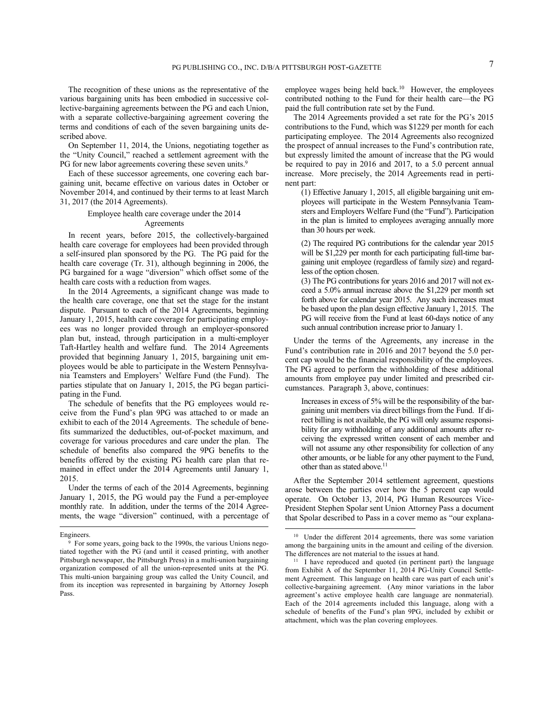The recognition of these unions as the representative of the various bargaining units has been embodied in successive collective-bargaining agreements between the PG and each Union, with a separate collective-bargaining agreement covering the terms and conditions of each of the seven bargaining units described above.

On September 11, 2014, the Unions, negotiating together as the "Unity Council," reached a settlement agreement with the PG for new labor agreements covering these seven units.<sup>9</sup>

Each of these successor agreements, one covering each bargaining unit, became effective on various dates in October or November 2014, and continued by their terms to at least March 31, 2017 (the 2014 Agreements).

## Employee health care coverage under the 2014 Agreements

In recent years, before 2015, the collectively-bargained health care coverage for employees had been provided through a self-insured plan sponsored by the PG. The PG paid for the health care coverage (Tr. 31), although beginning in 2006, the PG bargained for a wage "diversion" which offset some of the health care costs with a reduction from wages.

In the 2014 Agreements, a significant change was made to the health care coverage, one that set the stage for the instant dispute. Pursuant to each of the 2014 Agreements, beginning January 1, 2015, health care coverage for participating employees was no longer provided through an employer-sponsored plan but, instead, through participation in a multi-employer Taft-Hartley health and welfare fund. The 2014 Agreements provided that beginning January 1, 2015, bargaining unit employees would be able to participate in the Western Pennsylvania Teamsters and Employers' Welfare Fund (the Fund). The parties stipulate that on January 1, 2015, the PG began participating in the Fund.

The schedule of benefits that the PG employees would receive from the Fund's plan 9PG was attached to or made an exhibit to each of the 2014 Agreements. The schedule of benefits summarized the deductibles, out-of-pocket maximum, and coverage for various procedures and care under the plan. The schedule of benefits also compared the 9PG benefits to the benefits offered by the existing PG health care plan that remained in effect under the 2014 Agreements until January 1, 2015.

Under the terms of each of the 2014 Agreements, beginning January 1, 2015, the PG would pay the Fund a per-employee monthly rate. In addition, under the terms of the 2014 Agreements, the wage "diversion" continued, with a percentage of

l

employee wages being held back.<sup>10</sup> However, the employees contributed nothing to the Fund for their health care—the PG paid the full contribution rate set by the Fund.

The 2014 Agreements provided a set rate for the PG's 2015 contributions to the Fund, which was \$1229 per month for each participating employee. The 2014 Agreements also recognized the prospect of annual increases to the Fund's contribution rate, but expressly limited the amount of increase that the PG would be required to pay in 2016 and 2017, to a 5.0 percent annual increase. More precisely, the 2014 Agreements read in pertinent part:

(1) Effective January 1, 2015, all eligible bargaining unit employees will participate in the Western Pennsylvania Teamsters and Employers Welfare Fund (the "Fund"). Participation in the plan is limited to employees averaging annually more than 30 hours per week.

(2) The required PG contributions for the calendar year 2015 will be \$1,229 per month for each participating full-time bargaining unit employee (regardless of family size) and regardless of the option chosen.

(3) The PG contributions for years 2016 and 2017 will not exceed a 5.0% annual increase above the \$1,229 per month set forth above for calendar year 2015. Any such increases must be based upon the plan design effective January 1, 2015. The PG will receive from the Fund at least 60-days notice of any such annual contribution increase prior to January 1.

Under the terms of the Agreements, any increase in the Fund's contribution rate in 2016 and 2017 beyond the 5.0 percent cap would be the financial responsibility of the employees. The PG agreed to perform the withholding of these additional amounts from employee pay under limited and prescribed circumstances. Paragraph 3, above, continues:

Increases in excess of 5% will be the responsibility of the bargaining unit members via direct billings from the Fund. If direct billing is not available, the PG will only assume responsibility for any withholding of any additional amounts after receiving the expressed written consent of each member and will not assume any other responsibility for collection of any other amounts, or be liable for any other payment to the Fund, other than as stated above.<sup>11</sup>

After the September 2014 settlement agreement, questions arose between the parties over how the 5 percent cap would operate. On October 13, 2014, PG Human Resources Vice-President Stephen Spolar sent Union Attorney Pass a document that Spolar described to Pass in a cover memo as "our explana-

Engineers.

<sup>9</sup> For some years, going back to the 1990s, the various Unions negotiated together with the PG (and until it ceased printing, with another Pittsburgh newspaper, the Pittsburgh Press) in a multi-union bargaining organization composed of all the union-represented units at the PG. This multi-union bargaining group was called the Unity Council, and from its inception was represented in bargaining by Attorney Joseph Pass.

<sup>10</sup> Under the different 2014 agreements, there was some variation among the bargaining units in the amount and ceiling of the diversion. The differences are not material to the issues at hand.

<sup>&</sup>lt;sup>11</sup> I have reproduced and quoted (in pertinent part) the language from Exhibit A of the September 11, 2014 PG-Unity Council Settlement Agreement. This language on health care was part of each unit's collective-bargaining agreement. (Any minor variations in the labor agreement's active employee health care language are nonmaterial). Each of the 2014 agreements included this language, along with a schedule of benefits of the Fund's plan 9PG, included by exhibit or attachment, which was the plan covering employees.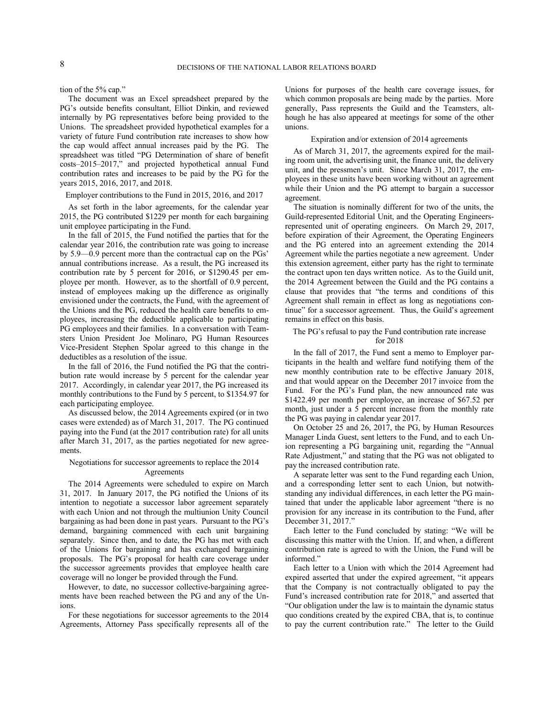tion of the 5% cap."

The document was an Excel spreadsheet prepared by the PG's outside benefits consultant, Elliot Dinkin, and reviewed internally by PG representatives before being provided to the Unions. The spreadsheet provided hypothetical examples for a variety of future Fund contribution rate increases to show how the cap would affect annual increases paid by the PG. The spreadsheet was titled "PG Determination of share of benefit costs–2015–2017," and projected hypothetical annual Fund contribution rates and increases to be paid by the PG for the years 2015, 2016, 2017, and 2018.

#### Employer contributions to the Fund in 2015, 2016, and 2017

As set forth in the labor agreements, for the calendar year 2015, the PG contributed \$1229 per month for each bargaining unit employee participating in the Fund.

In the fall of 2015, the Fund notified the parties that for the calendar year 2016, the contribution rate was going to increase by 5.9—0.9 percent more than the contractual cap on the PGs' annual contributions increase. As a result, the PG increased its contribution rate by 5 percent for 2016, or \$1290.45 per employee per month. However, as to the shortfall of 0.9 percent, instead of employees making up the difference as originally envisioned under the contracts, the Fund, with the agreement of the Unions and the PG, reduced the health care benefits to employees, increasing the deductible applicable to participating PG employees and their families. In a conversation with Teamsters Union President Joe Molinaro, PG Human Resources Vice-President Stephen Spolar agreed to this change in the deductibles as a resolution of the issue.

In the fall of 2016, the Fund notified the PG that the contribution rate would increase by 5 percent for the calendar year 2017. Accordingly, in calendar year 2017, the PG increased its monthly contributions to the Fund by 5 percent, to \$1354.97 for each participating employee.

As discussed below, the 2014 Agreements expired (or in two cases were extended) as of March 31, 2017. The PG continued paying into the Fund (at the 2017 contribution rate) for all units after March 31, 2017, as the parties negotiated for new agreements.

## Negotiations for successor agreements to replace the 2014 Agreements

The 2014 Agreements were scheduled to expire on March 31, 2017. In January 2017, the PG notified the Unions of its intention to negotiate a successor labor agreement separately with each Union and not through the multiunion Unity Council bargaining as had been done in past years. Pursuant to the PG's demand, bargaining commenced with each unit bargaining separately. Since then, and to date, the PG has met with each of the Unions for bargaining and has exchanged bargaining proposals. The PG's proposal for health care coverage under the successor agreements provides that employee health care coverage will no longer be provided through the Fund.

However, to date, no successor collective-bargaining agreements have been reached between the PG and any of the Unions.

For these negotiations for successor agreements to the 2014 Agreements, Attorney Pass specifically represents all of the Unions for purposes of the health care coverage issues, for which common proposals are being made by the parties. More generally, Pass represents the Guild and the Teamsters, although he has also appeared at meetings for some of the other unions.

### Expiration and/or extension of 2014 agreements

As of March 31, 2017, the agreements expired for the mailing room unit, the advertising unit, the finance unit, the delivery unit, and the pressmen's unit. Since March 31, 2017, the employees in these units have been working without an agreement while their Union and the PG attempt to bargain a successor agreement.

The situation is nominally different for two of the units, the Guild-represented Editorial Unit, and the Operating Engineersrepresented unit of operating engineers. On March 29, 2017, before expiration of their Agreement, the Operating Engineers and the PG entered into an agreement extending the 2014 Agreement while the parties negotiate a new agreement. Under this extension agreement, either party has the right to terminate the contract upon ten days written notice. As to the Guild unit, the 2014 Agreement between the Guild and the PG contains a clause that provides that "the terms and conditions of this Agreement shall remain in effect as long as negotiations continue" for a successor agreement. Thus, the Guild's agreement remains in effect on this basis.

## The PG's refusal to pay the Fund contribution rate increase for 2018

In the fall of 2017, the Fund sent a memo to Employer participants in the health and welfare fund notifying them of the new monthly contribution rate to be effective January 2018, and that would appear on the December 2017 invoice from the Fund. For the PG's Fund plan, the new announced rate was \$1422.49 per month per employee, an increase of \$67.52 per month, just under a 5 percent increase from the monthly rate the PG was paying in calendar year 2017.

On October 25 and 26, 2017, the PG, by Human Resources Manager Linda Guest, sent letters to the Fund, and to each Union representing a PG bargaining unit, regarding the "Annual Rate Adjustment," and stating that the PG was not obligated to pay the increased contribution rate.

A separate letter was sent to the Fund regarding each Union, and a corresponding letter sent to each Union, but notwithstanding any individual differences, in each letter the PG maintained that under the applicable labor agreement "there is no provision for any increase in its contribution to the Fund, after December 31, 2017."

Each letter to the Fund concluded by stating: "We will be discussing this matter with the Union. If, and when, a different contribution rate is agreed to with the Union, the Fund will be informed."

Each letter to a Union with which the 2014 Agreement had expired asserted that under the expired agreement, "it appears that the Company is not contractually obligated to pay the Fund's increased contribution rate for 2018," and asserted that "Our obligation under the law is to maintain the dynamic status quo conditions created by the expired CBA, that is, to continue to pay the current contribution rate." The letter to the Guild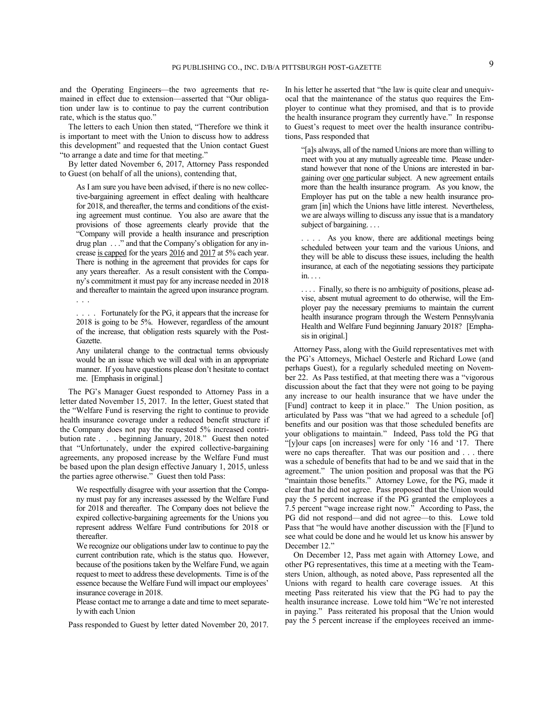and the Operating Engineers—the two agreements that remained in effect due to extension—asserted that "Our obligation under law is to continue to pay the current contribution rate, which is the status quo."

The letters to each Union then stated, "Therefore we think it is important to meet with the Union to discuss how to address this development" and requested that the Union contact Guest "to arrange a date and time for that meeting."

By letter dated November 6, 2017, Attorney Pass responded to Guest (on behalf of all the unions), contending that,

As I am sure you have been advised, if there is no new collective-bargaining agreement in effect dealing with healthcare for 2018, and thereafter, the terms and conditions of the existing agreement must continue. You also are aware that the provisions of those agreements clearly provide that the "Company will provide a health insurance and prescription drug plan . . ." and that the Company's obligation for any increase is capped for the years 2016 and 2017 at 5% each year. There is nothing in the agreement that provides for caps for any years thereafter. As a result consistent with the Company's commitment it must pay for any increase needed in 2018 and thereafter to maintain the agreed upon insurance program. . . .

... Fortunately for the PG, it appears that the increase for 2018 is going to be 5%. However, regardless of the amount of the increase, that obligation rests squarely with the Post-Gazette.

Any unilateral change to the contractual terms obviously would be an issue which we will deal with in an appropriate manner. If you have questions please don't hesitate to contact me. [Emphasis in original.]

The PG's Manager Guest responded to Attorney Pass in a letter dated November 15, 2017. In the letter, Guest stated that the "Welfare Fund is reserving the right to continue to provide health insurance coverage under a reduced benefit structure if the Company does not pay the requested 5% increased contribution rate . . . beginning January, 2018." Guest then noted that "Unfortunately, under the expired collective-bargaining agreements, any proposed increase by the Welfare Fund must be based upon the plan design effective January 1, 2015, unless the parties agree otherwise." Guest then told Pass:

We respectfully disagree with your assertion that the Company must pay for any increases assessed by the Welfare Fund for 2018 and thereafter. The Company does not believe the expired collective-bargaining agreements for the Unions you represent address Welfare Fund contributions for 2018 or thereafter.

We recognize our obligations under law to continue to pay the current contribution rate, which is the status quo. However, because of the positions taken by the Welfare Fund, we again request to meet to address these developments. Time is of the essence because the Welfare Fund will impact our employees' insurance coverage in 2018.

Please contact me to arrange a date and time to meet separately with each Union

Pass responded to Guest by letter dated November 20, 2017.

In his letter he asserted that "the law is quite clear and unequivocal that the maintenance of the status quo requires the Employer to continue what they promised, and that is to provide the health insurance program they currently have." In response to Guest's request to meet over the health insurance contributions, Pass responded that

"[a]s always, all of the named Unions are more than willing to meet with you at any mutually agreeable time. Please understand however that none of the Unions are interested in bargaining over one particular subject. A new agreement entails more than the health insurance program. As you know, the Employer has put on the table a new health insurance program [in] which the Unions have little interest. Nevertheless, we are always willing to discuss any issue that is a mandatory subject of bargaining. . . .

. . . . As you know, there are additional meetings being scheduled between your team and the various Unions, and they will be able to discuss these issues, including the health insurance, at each of the negotiating sessions they participate in. . . .

. . . . Finally, so there is no ambiguity of positions, please advise, absent mutual agreement to do otherwise, will the Employer pay the necessary premiums to maintain the current health insurance program through the Western Pennsylvania Health and Welfare Fund beginning January 2018? [Emphasis in original.]

Attorney Pass, along with the Guild representatives met with the PG's Attorneys, Michael Oesterle and Richard Lowe (and perhaps Guest), for a regularly scheduled meeting on November 22. As Pass testified, at that meeting there was a "vigorous discussion about the fact that they were not going to be paying any increase to our health insurance that we have under the [Fund] contract to keep it in place." The Union position, as articulated by Pass was "that we had agreed to a schedule [of] benefits and our position was that those scheduled benefits are your obligations to maintain." Indeed, Pass told the PG that "[y]our caps [on increases] were for only '16 and '17. There were no caps thereafter. That was our position and . . . there was a schedule of benefits that had to be and we said that in the agreement." The union position and proposal was that the PG "maintain those benefits." Attorney Lowe, for the PG, made it clear that he did not agree. Pass proposed that the Union would pay the 5 percent increase if the PG granted the employees a 7.5 percent "wage increase right now." According to Pass, the PG did not respond—and did not agree—to this. Lowe told Pass that "he would have another discussion with the [F]und to see what could be done and he would let us know his answer by December 12."

On December 12, Pass met again with Attorney Lowe, and other PG representatives, this time at a meeting with the Teamsters Union, although, as noted above, Pass represented all the Unions with regard to health care coverage issues. At this meeting Pass reiterated his view that the PG had to pay the health insurance increase. Lowe told him "We're not interested in paying." Pass reiterated his proposal that the Union would pay the 5 percent increase if the employees received an imme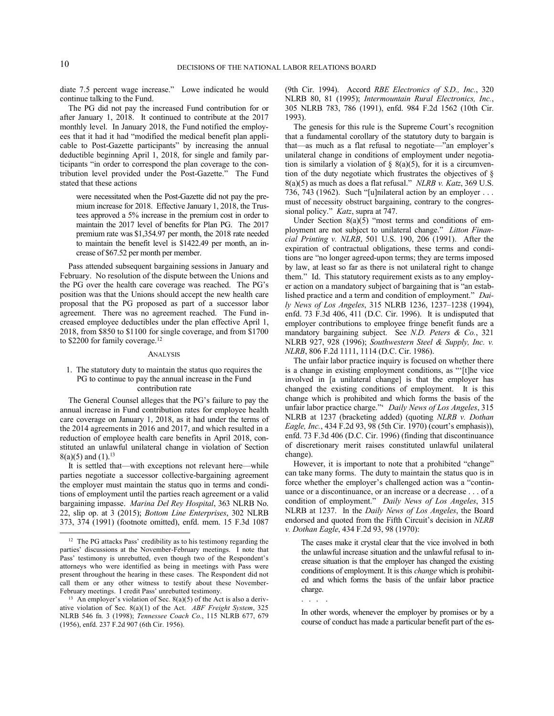diate 7.5 percent wage increase." Lowe indicated he would continue talking to the Fund.

The PG did not pay the increased Fund contribution for or after January 1, 2018. It continued to contribute at the 2017 monthly level. In January 2018, the Fund notified the employees that it had it had "modified the medical benefit plan applicable to Post-Gazette participants" by increasing the annual deductible beginning April 1, 2018, for single and family participants "in order to correspond the plan coverage to the contribution level provided under the Post-Gazette." The Fund stated that these actions

were necessitated when the Post-Gazette did not pay the premium increase for 2018. Effective January 1, 2018, the Trustees approved a 5% increase in the premium cost in order to maintain the 2017 level of benefits for Plan PG. The 2017 premium rate was \$1,354.97 per month, the 2018 rate needed to maintain the benefit level is \$1422.49 per month, an increase of \$67.52 per month per member.

Pass attended subsequent bargaining sessions in January and February. No resolution of the dispute between the Unions and the PG over the health care coverage was reached. The PG's position was that the Unions should accept the new health care proposal that the PG proposed as part of a successor labor agreement. There was no agreement reached. The Fund increased employee deductibles under the plan effective April 1, 2018, from \$850 to \$1100 for single coverage, and from \$1700 to \$2200 for family coverage.<sup>12</sup>

#### ANALYSIS

## 1. The statutory duty to maintain the status quo requires the PG to continue to pay the annual increase in the Fund contribution rate

The General Counsel alleges that the PG's failure to pay the annual increase in Fund contribution rates for employee health care coverage on January 1, 2018, as it had under the terms of the 2014 agreements in 2016 and 2017, and which resulted in a reduction of employee health care benefits in April 2018, constituted an unlawful unilateral change in violation of Section  $8(a)(5)$  and  $(1).^{13}$ 

It is settled that—with exceptions not relevant here—while parties negotiate a successor collective-bargaining agreement the employer must maintain the status quo in terms and conditions of employment until the parties reach agreement or a valid bargaining impasse. *Marina Del Rey Hospital*, 363 NLRB No. 22, slip op. at 3 (2015); *Bottom Line Enterprises*, 302 NLRB 373, 374 (1991) (footnote omitted), enfd. mem. 15 F.3d 1087 (9th Cir. 1994). Accord *RBE Electronics of S.D., Inc.*, 320 NLRB 80, 81 (1995); *Intermountain Rural Electronics, Inc.*, 305 NLRB 783, 786 (1991), enfd. 984 F.2d 1562 (10th Cir. 1993).

The genesis for this rule is the Supreme Court's recognition that a fundamental corollary of the statutory duty to bargain is that—as much as a flat refusal to negotiate—"an employer's unilateral change in conditions of employment under negotiation is similarly a violation of  $\S$  8(a)(5), for it is a circumvention of the duty negotiate which frustrates the objectives of § 8(a)(5) as much as does a flat refusal." *NLRB v. Katz*, 369 U.S. 736, 743 (1962). Such "[u]nilateral action by an employer . . . must of necessity obstruct bargaining, contrary to the congressional policy." *Katz*, supra at 747.

Under Section  $8(a)(5)$  "most terms and conditions of employment are not subject to unilateral change." *Litton Financial Printing v. NLRB*, 501 U.S. 190, 206 (1991). After the expiration of contractual obligations, these terms and conditions are "no longer agreed-upon terms; they are terms imposed by law, at least so far as there is not unilateral right to change them." Id. This statutory requirement exists as to any employer action on a mandatory subject of bargaining that is "an established practice and a term and condition of employment." *Daily News of Los Angeles*, 315 NLRB 1236, 1237–1238 (1994), enfd. 73 F.3d 406, 411 (D.C. Cir. 1996). It is undisputed that employer contributions to employee fringe benefit funds are a mandatory bargaining subject. See *N.D. Peters & Co.*, 321 NLRB 927, 928 (1996); *Southwestern Steel & Supply, Inc. v. NLRB*, 806 F.2d 1111, 1114 (D.C. Cir. 1986).

The unfair labor practice inquiry is focused on whether there is a change in existing employment conditions, as "'[t]he vice involved in [a unilateral change] is that the employer has changed the existing conditions of employment. It is this change which is prohibited and which forms the basis of the unfair labor practice charge."' *Daily News of Los Angeles*, 315 NLRB at 1237 (bracketing added) (quoting *NLRB v. Dothan Eagle, Inc.*, 434 F.2d 93, 98 (5th Cir. 1970) (court's emphasis)), enfd. 73 F.3d 406 (D.C. Cir. 1996) (finding that discontinuance of discretionary merit raises constituted unlawful unilateral change).

However, it is important to note that a prohibited "change" can take many forms. The duty to maintain the status quo is in force whether the employer's challenged action was a "continuance or a discontinuance, or an increase or a decrease . . . of a condition of employment." *Daily News of Los Angeles*, 315 NLRB at 1237. In the *Daily News of Los Angeles*, the Board endorsed and quoted from the Fifth Circuit's decision in *NLRB v. Dothan Eagle*, 434 F.2d 93, 98 (1970):

The cases make it crystal clear that the vice involved in both the unlawful increase situation and the unlawful refusal to increase situation is that the employer has changed the existing conditions of employment. It is this *change* which is prohibited and which forms the basis of the unfair labor practice charge.

-

<sup>&</sup>lt;sup>12</sup> The PG attacks Pass' credibility as to his testimony regarding the parties' discussions at the November-February meetings. I note that Pass' testimony is unrebutted, even though two of the Respondent's attorneys who were identified as being in meetings with Pass were present throughout the hearing in these cases. The Respondent did not call them or any other witness to testify about these November-February meetings. I credit Pass' unrebutted testimony.

<sup>&</sup>lt;sup>13</sup> An employer's violation of Sec.  $8(a)(5)$  of the Act is also a derivative violation of Sec. 8(a)(1) of the Act. *ABF Freight System*, 325 NLRB 546 fn. 3 (1998); *Tennessee Coach Co.*, 115 NLRB 677, 679 (1956), enfd. 237 F.2d 907 (6th Cir. 1956).

<sup>. . . .</sup>

In other words, whenever the employer by promises or by a course of conduct has made a particular benefit part of the es-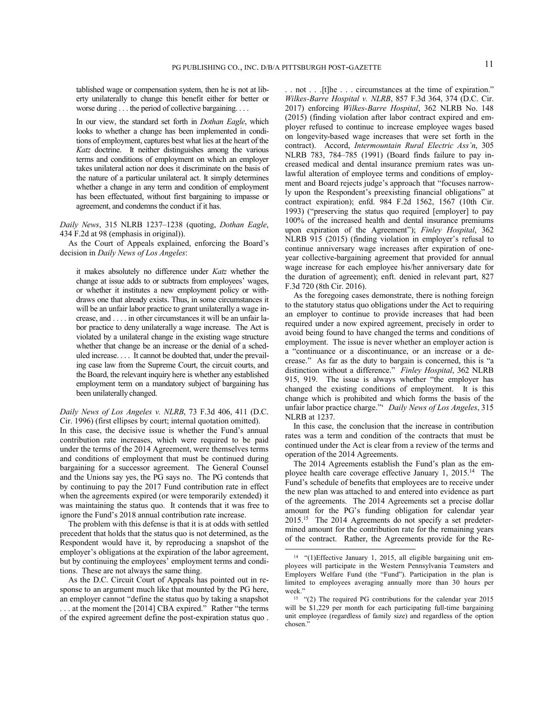tablished wage or compensation system, then he is not at liberty unilaterally to change this benefit either for better or worse during . . . the period of collective bargaining. . . .

In our view, the standard set forth in *Dothan Eagle*, which looks to whether a change has been implemented in conditions of employment, captures best what lies at the heart of the *Katz* doctrine. It neither distinguishes among the various terms and conditions of employment on which an employer takes unilateral action nor does it discriminate on the basis of the nature of a particular unilateral act. It simply determines whether a change in any term and condition of employment has been effectuated, without first bargaining to impasse or agreement, and condemns the conduct if it has.

*Daily News*, 315 NLRB 1237–1238 (quoting, *Dothan Eagle*, 434 F.2d at 98 (emphasis in original)).

As the Court of Appeals explained, enforcing the Board's decision in *Daily News of Los Angeles*:

it makes absolutely no difference under *Katz* whether the change at issue adds to or subtracts from employees' wages, or whether it institutes a new employment policy or withdraws one that already exists. Thus, in some circumstances it will be an unfair labor practice to grant unilaterally a wage increase, and . . . . in other circumstances it will be an unfair labor practice to deny unilaterally a wage increase. The Act is violated by a unilateral change in the existing wage structure whether that change be an increase or the denial of a scheduled increase. . . . It cannot be doubted that, under the prevailing case law from the Supreme Court, the circuit courts, and the Board, the relevant inquiry here is whether any established employment term on a mandatory subject of bargaining has been unilaterally changed.

*Daily News of Los Angeles v. NLRB*, 73 F.3d 406, 411 (D.C. Cir. 1996) (first ellipses by court; internal quotation omitted).

In this case, the decisive issue is whether the Fund's annual contribution rate increases, which were required to be paid under the terms of the 2014 Agreement, were themselves terms and conditions of employment that must be continued during bargaining for a successor agreement. The General Counsel and the Unions say yes, the PG says no. The PG contends that by continuing to pay the 2017 Fund contribution rate in effect when the agreements expired (or were temporarily extended) it was maintaining the status quo. It contends that it was free to ignore the Fund's 2018 annual contribution rate increase.

The problem with this defense is that it is at odds with settled precedent that holds that the status quo is not determined, as the Respondent would have it, by reproducing a snapshot of the employer's obligations at the expiration of the labor agreement, but by continuing the employees' employment terms and conditions. These are not always the same thing.

As the D.C. Circuit Court of Appeals has pointed out in response to an argument much like that mounted by the PG here, an employer cannot "define the status quo by taking a snapshot ... at the moment the [2014] CBA expired." Rather "the terms" of the expired agreement define the post-expiration status quo .

. . not . . .[t]he . . . circumstances at the time of expiration." *Wilkes-Barre Hospital v. NLRB*, 857 F.3d 364, 374 (D.C. Cir. 2017) enforcing *Wilkes-Barre Hospital*, 362 NLRB No. 148 (2015) (finding violation after labor contract expired and employer refused to continue to increase employee wages based on longevity-based wage increases that were set forth in the contract). Accord, *Intermountain Rural Electric Ass'n*, 305 NLRB 783, 784–785 (1991) (Board finds failure to pay increased medical and dental insurance premium rates was unlawful alteration of employee terms and conditions of employment and Board rejects judge's approach that "focuses narrowly upon the Respondent's preexisting financial obligations" at contract expiration); enfd. 984 F.2d 1562, 1567 (10th Cir. 1993) ("preserving the status quo required [employer] to pay 100% of the increased health and dental insurance premiums upon expiration of the Agreement"); *Finley Hospital*, 362 NLRB 915 (2015) (finding violation in employer's refusal to continue anniversary wage increases after expiration of oneyear collective-bargaining agreement that provided for annual wage increase for each employee his/her anniversary date for the duration of agreement); enft. denied in relevant part, 827 F.3d 720 (8th Cir. 2016).

As the foregoing cases demonstrate, there is nothing foreign to the statutory status quo obligations under the Act to requiring an employer to continue to provide increases that had been required under a now expired agreement, precisely in order to avoid being found to have changed the terms and conditions of employment. The issue is never whether an employer action is a "continuance or a discontinuance, or an increase or a decrease." As far as the duty to bargain is concerned, this is "a distinction without a difference." *Finley Hospital*, 362 NLRB 915, 919. The issue is always whether "the employer has changed the existing conditions of employment. It is this change which is prohibited and which forms the basis of the unfair labor practice charge."' *Daily News of Los Angeles*, 315 NLRB at 1237.

In this case, the conclusion that the increase in contribution rates was a term and condition of the contracts that must be continued under the Act is clear from a review of the terms and operation of the 2014 Agreements.

The 2014 Agreements establish the Fund's plan as the employee health care coverage effective January 1, 2015.<sup>14</sup> The Fund's schedule of benefits that employees are to receive under the new plan was attached to and entered into evidence as part of the agreements. The 2014 Agreements set a precise dollar amount for the PG's funding obligation for calendar year 2015.<sup>15</sup> The 2014 Agreements do not specify a set predetermined amount for the contribution rate for the remaining years of the contract. Rather, the Agreements provide for the Re-

<sup>14</sup> "(1)Effective January 1, 2015, all eligible bargaining unit employees will participate in the Western Pennsylvania Teamsters and Employers Welfare Fund (the "Fund"). Participation in the plan is limited to employees averaging annually more than 30 hours per week."

<sup>15</sup> "(2) The required PG contributions for the calendar year 2015 will be \$1,229 per month for each participating full-time bargaining unit employee (regardless of family size) and regardless of the option chosen."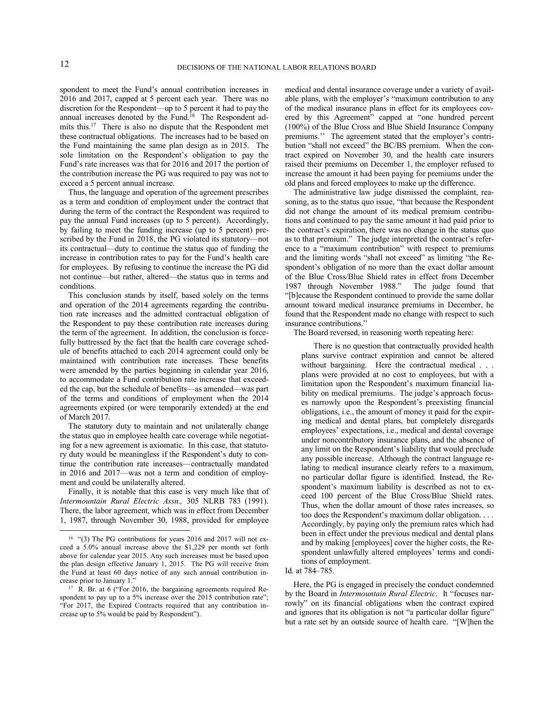spondent to meet the Fund's annual contribution increases in 2016 and 2017, capped at 5 percent each year. There was no discretion for the Respondent—up to 5 percent it had to pay the annual increases denoted by the Fund.<sup>16</sup> The Respondent admits this.<sup>17</sup> There is also no dispute that the Respondent met these contractual obligations. The increases had to be based on the Fund maintaining the same plan design as in 2015. The sole limitation on the Respondent's obligation to pay the Fund's rate increases was that for 2016 and 2017 the portion of the contribution increase the PG was required to pay was not to exceed a 5 percent annual increase.

Thus, the language and operation of the agreement prescribes as a term and condition of employment under the contract that during the term of the contract the Respondent was required to pay the annual Fund increases (up to 5 percent). Accordingly, by failing to meet the funding increase (up to 5 percent) prescribed by the Fund in 2018, the PG violated its statutory—not its contractual—duty to continue the status quo of funding the increase in contribution rates to pay for the Fund's health care for employees. By refusing to continue the increase the PG did not continue—but rather, altered—the status quo in terms and conditions.

This conclusion stands by itself, based solely on the terms and operation of the 2014 agreements regarding the contribution rate increases and the admitted contractual obligation of the Respondent to pay these contribution rate increases during the term of the agreement. In addition, the conclusion is forcefully buttressed by the fact that the health care coverage schedule of benefits attached to each 2014 agreement could only be maintained with contribution rate increases. These benefits were amended by the parties beginning in calendar year 2016, to accommodate a Fund contribution rate increase that exceeded the cap, but the schedule of benefits—as amended—was part of the terms and conditions of employment when the 2014 agreements expired (or were temporarily extended) at the end of March 2017.

The statutory duty to maintain and not unilaterally change the status quo in employee health care coverage while negotiating for a new agreement is axiomatic. In this case, that statutory duty would be meaningless if the Respondent's duty to continue the contribution rate increases—contractually mandated in 2016 and 2017—was not a term and condition of employment and could be unilaterally altered.

Finally, it is notable that this case is very much like that of *Intermountain Rural Electric Assn.,* 305 NLRB 783 (1991). There, the labor agreement, which was in effect from December 1, 1987, through November 30, 1988, provided for employee

medical and dental insurance coverage under a variety of available plans, with the employer's "maximum contribution to any of the medical insurance plans in effect for its employees covered by this Agreement" capped at "one hundred percent (100%) of the Blue Cross and Blue Shield Insurance Company premiums.'' The agreement stated that the employer's contribution "shall not exceed" the BC/BS premium. When the contract expired on November 30, and the health care insurers raised their premiums on December 1, the employer refused to increase the amount it had been paying for premiums under the old plans and forced employees to make up the difference.

The administrative law judge dismissed the complaint, reasoning, as to the status quo issue, "that because the Respondent did not change the amount of its medical premium contributions and continued to pay the same amount it had paid prior to the contract's expiration, there was no change in the status quo as to that premium." The judge interpreted the contract's reference to a "maximum contribution" with respect to premiums and the limiting words "shall not exceed" as limiting "the Respondent's obligation of no more than the exact dollar amount of the Blue Cross/Blue Shield rates in effect from December 1987 through November 1988." The judge found that "[b]ecause the Respondent continued to provide the same dollar amount toward medical insurance premiums in December, he found that the Respondent made no change with respect to such insurance contributions."

The Board reversed, in reasoning worth repeating here:

There is no question that contractually provided health plans survive contract expiration and cannot be altered without bargaining. Here the contractual medical . . . plans were provided at no cost to employees, but with a limitation upon the Respondent's maximum financial liability on medical premiums. The judge's approach focuses narrowly upon the Respondent's preexisting financial obligations, i.e., the amount of money it paid for the expiring medical and dental plans, but completely disregards employees' expectations, i.e., medical and dental coverage under noncontributory insurance plans, and the absence of any limit on the Respondent's liability that would preclude any possible increase. Although the contract language relating to medical insurance clearly refers to a maximum, no particular dollar figure is identified. Instead, the Respondent's maximum liability is described as not to exceed 100 percent of the Blue Cross/Blue Shield rates. Thus, when the dollar amount of those rates increases, so too does the Respondent's maximum dollar obligation. . . . Accordingly, by paying only the premium rates which had been in effect under the previous medical and dental plans and by making [employees] cover the higher costs, the Respondent unlawfully altered employees' terms and conditions of employment.

Id. at 784–785.

Here, the PG is engaged in precisely the conduct condemned by the Board in *Intermountain Rural Electric*. It "focuses narrowly" on its financial obligations when the contract expired and ignores that its obligation is not "a particular dollar figure" but a rate set by an outside source of health care. "[W]hen the

<sup>&</sup>lt;sup>16</sup> "(3) The PG contributions for years 2016 and 2017 will not exceed a 5.0% annual increase above the \$1,229 per month set forth above for calendar year 2015. Any such increases must be based upon the plan design effective January 1, 2015. The PG will receive from the Fund at least 60 days notice of any such annual contribution increase prior to January 1."

<sup>&</sup>lt;sup>17</sup> R. Br. at 6 ("For 2016, the bargaining agreements required Respondent to pay up to a 5% increase over the 2015 contribution rate"; "For 2017, the Expired Contracts required that any contribution increase up to 5% would be paid by Respondent").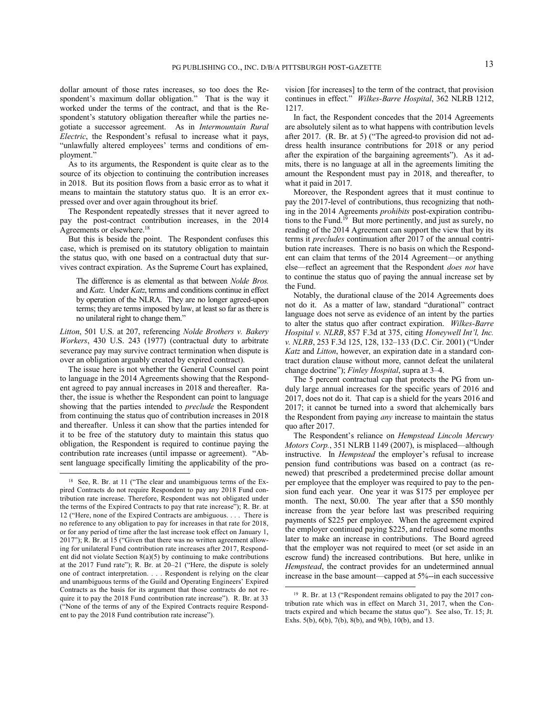dollar amount of those rates increases, so too does the Respondent's maximum dollar obligation." That is the way it worked under the terms of the contract, and that is the Respondent's statutory obligation thereafter while the parties negotiate a successor agreement. As in *Intermountain Rural Electric*, the Respondent's refusal to increase what it pays, "unlawfully altered employees' terms and conditions of employment."

As to its arguments, the Respondent is quite clear as to the source of its objection to continuing the contribution increases in 2018. But its position flows from a basic error as to what it means to maintain the statutory status quo. It is an error expressed over and over again throughout its brief.

The Respondent repeatedly stresses that it never agreed to pay the post-contract contribution increases, in the 2014 Agreements or elsewhere.<sup>18</sup>

But this is beside the point. The Respondent confuses this case, which is premised on its statutory obligation to maintain the status quo, with one based on a contractual duty that survives contract expiration. As the Supreme Court has explained,

The difference is as elemental as that between *Nolde Bros.* and *Katz*. Under *Katz*, terms and conditions continue in effect by operation of the NLRA. They are no longer agreed-upon terms; they are terms imposed by law, at least so far as there is no unilateral right to change them."

*Litton*, 501 U.S. at 207, referencing *Nolde Brothers v. Bakery Workers*, 430 U.S. 243 (1977) (contractual duty to arbitrate severance pay may survive contract termination when dispute is over an obligation arguably created by expired contract).

The issue here is not whether the General Counsel can point to language in the 2014 Agreements showing that the Respondent agreed to pay annual increases in 2018 and thereafter. Rather, the issue is whether the Respondent can point to language showing that the parties intended to *preclude* the Respondent from continuing the status quo of contribution increases in 2018 and thereafter. Unless it can show that the parties intended for it to be free of the statutory duty to maintain this status quo obligation, the Respondent is required to continue paying the contribution rate increases (until impasse or agreement). "Absent language specifically limiting the applicability of the pro-

-

vision [for increases] to the term of the contract, that provision continues in effect." *Wilkes-Barre Hospital*, 362 NLRB 1212, 1217.

In fact, the Respondent concedes that the 2014 Agreements are absolutely silent as to what happens with contribution levels after 2017. (R. Br. at 5) ("The agreed-to provision did not address health insurance contributions for 2018 or any period after the expiration of the bargaining agreements"). As it admits, there is no language at all in the agreements limiting the amount the Respondent must pay in 2018, and thereafter, to what it paid in 2017.

Moreover, the Respondent agrees that it must continue to pay the 2017-level of contributions, thus recognizing that nothing in the 2014 Agreements *prohibits* post-expiration contributions to the Fund.<sup>19</sup> But more pertinently, and just as surely, no reading of the 2014 Agreement can support the view that by its terms it *precludes* continuation after 2017 of the annual contribution rate increases. There is no basis on which the Respondent can claim that terms of the 2014 Agreement—or anything else—reflect an agreement that the Respondent *does not* have to continue the status quo of paying the annual increase set by the Fund.

Notably, the durational clause of the 2014 Agreements does not do it. As a matter of law, standard "durational" contract language does not serve as evidence of an intent by the parties to alter the status quo after contract expiration. *Wilkes-Barre Hospital v. NLRB*, 857 F.3d at 375, citing *Honeywell Int'l, Inc. v. NLRB*, 253 F.3d 125, 128, 132–133 (D.C. Cir. 2001) ("Under *Katz* and *Litton*, however, an expiration date in a standard contract duration clause without more, cannot defeat the unilateral change doctrine"); *Finley Hospital*, supra at 3–4.

The 5 percent contractual cap that protects the PG from unduly large annual increases for the specific years of 2016 and 2017, does not do it. That cap is a shield for the years 2016 and 2017; it cannot be turned into a sword that alchemically bars the Respondent from paying *any* increase to maintain the status quo after 2017.

The Respondent's reliance on *Hempstead Lincoln Mercury Motors Corp.*, 351 NLRB 1149 (2007), is misplaced—although instructive. In *Hempstead* the employer's refusal to increase pension fund contributions was based on a contract (as renewed) that prescribed a predetermined precise dollar amount per employee that the employer was required to pay to the pension fund each year. One year it was \$175 per employee per month. The next, \$0.00. The year after that a \$50 monthly increase from the year before last was prescribed requiring payments of \$225 per employee. When the agreement expired the employer continued paying \$225, and refused some months later to make an increase in contributions. The Board agreed that the employer was not required to meet (or set aside in an escrow fund) the increased contributions. But here, unlike in *Hempstead*, the contract provides for an undetermined annual increase in the base amount—capped at 5%--in each successive

<sup>18</sup> See, R. Br. at 11 ("The clear and unambiguous terms of the Expired Contracts do not require Respondent to pay any 2018 Fund contribution rate increase. Therefore, Respondent was not obligated under the terms of the Expired Contracts to pay that rate increase"); R. Br. at 12 ("Here, none of the Expired Contracts are ambiguous. . . . There is no reference to any obligation to pay for increases in that rate for 2018, or for any period of time after the last increase took effect on January 1, 2017"); R. Br. at 15 ("Given that there was no written agreement allowing for unilateral Fund contribution rate increases after 2017, Respondent did not violate Section 8(a)(5) by continuing to make contributions at the 2017 Fund rate"); R. Br. at 20–21 ("Here, the dispute is solely one of contract interpretation. . . . Respondent is relying on the clear and unambiguous terms of the Guild and Operating Engineers' Expired Contracts as the basis for its argument that those contracts do not require it to pay the 2018 Fund contribution rate increase"). R. Br. at 33 ("None of the terms of any of the Expired Contracts require Respondent to pay the 2018 Fund contribution rate increase").

<sup>&</sup>lt;sup>19</sup> R. Br. at 13 ("Respondent remains obligated to pay the 2017 contribution rate which was in effect on March 31, 2017, when the Contracts expired and which became the status quo"). See also, Tr. 15; Jt. Exhs. 5(b), 6(b), 7(b), 8(b), and 9(b), 10(b), and 13.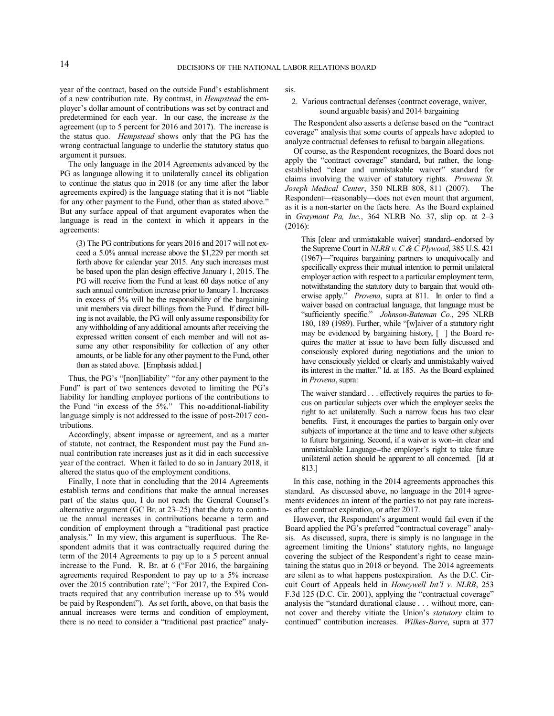year of the contract, based on the outside Fund's establishment of a new contribution rate. By contrast, in *Hempstead* the employer's dollar amount of contributions was set by contract and predetermined for each year. In our case, the increase *is* the agreement (up to 5 percent for 2016 and 2017). The increase is the status quo. *Hempstead* shows only that the PG has the wrong contractual language to underlie the statutory status quo argument it pursues.

The only language in the 2014 Agreements advanced by the PG as language allowing it to unilaterally cancel its obligation to continue the status quo in 2018 (or any time after the labor agreements expired) is the language stating that it is not "liable for any other payment to the Fund, other than as stated above." But any surface appeal of that argument evaporates when the language is read in the context in which it appears in the agreements:

(3) The PG contributions for years 2016 and 2017 will not exceed a 5.0% annual increase above the \$1,229 per month set forth above for calendar year 2015. Any such increases must be based upon the plan design effective January 1, 2015. The PG will receive from the Fund at least 60 days notice of any such annual contribution increase prior to January 1. Increases in excess of 5% will be the responsibility of the bargaining unit members via direct billings from the Fund. If direct billing is not available, the PG will only assume responsibility for any withholding of any additional amounts after receiving the expressed written consent of each member and will not assume any other responsibility for collection of any other amounts, or be liable for any other payment to the Fund, other than as stated above. [Emphasis added.]

Thus, the PG's "[non]liability" "for any other payment to the Fund" is part of two sentences devoted to limiting the PG's liability for handling employee portions of the contributions to the Fund "in excess of the 5%." This no-additional-liability language simply is not addressed to the issue of post-2017 contributions.

Accordingly, absent impasse or agreement, and as a matter of statute, not contract, the Respondent must pay the Fund annual contribution rate increases just as it did in each successive year of the contract. When it failed to do so in January 2018, it altered the status quo of the employment conditions.

Finally, I note that in concluding that the 2014 Agreements establish terms and conditions that make the annual increases part of the status quo, I do not reach the General Counsel's alternative argument (GC Br. at 23–25) that the duty to continue the annual increases in contributions became a term and condition of employment through a "traditional past practice analysis." In my view, this argument is superfluous. The Respondent admits that it was contractually required during the term of the 2014 Agreements to pay up to a 5 percent annual increase to the Fund. R. Br. at 6 ("For 2016, the bargaining agreements required Respondent to pay up to a 5% increase over the 2015 contribution rate"; "For 2017, the Expired Contracts required that any contribution increase up to 5% would be paid by Respondent"). As set forth, above, on that basis the annual increases were terms and condition of employment, there is no need to consider a "traditional past practice" analysis.

### 2. Various contractual defenses (contract coverage, waiver, sound arguable basis) and 2014 bargaining

The Respondent also asserts a defense based on the "contract coverage" analysis that some courts of appeals have adopted to analyze contractual defenses to refusal to bargain allegations.

Of course, as the Respondent recognizes, the Board does not apply the "contract coverage" standard, but rather, the longestablished "clear and unmistakable waiver" standard for claims involving the waiver of statutory rights. *Provena St. Joseph Medical Center*, 350 NLRB 808, 811 (2007). The Respondent—reasonably—does not even mount that argument, as it is a non-starter on the facts here. As the Board explained in *Graymont Pa, Inc.*, 364 NLRB No. 37, slip op. at 2–3 (2016):

This [clear and unmistakable waiver] standard--endorsed by the Supreme Court in *NLRB v. C & C Plywood*, 385 U.S. 421 (1967)—"requires bargaining partners to unequivocally and specifically express their mutual intention to permit unilateral employer action with respect to a particular employment term, notwithstanding the statutory duty to bargain that would otherwise apply." *Provena*, supra at 811. In order to find a waiver based on contractual language, that language must be "sufficiently specific." *Johnson-Bateman Co.*, 295 NLRB 180, 189 (1989). Further, while "[w]aiver of a statutory right may be evidenced by bargaining history, [ ] the Board requires the matter at issue to have been fully discussed and consciously explored during negotiations and the union to have consciously yielded or clearly and unmistakably waived its interest in the matter." Id. at 185. As the Board explained in *Provena*, supra:

The waiver standard . . . effectively requires the parties to focus on particular subjects over which the employer seeks the right to act unilaterally. Such a narrow focus has two clear benefits. First, it encourages the parties to bargain only over subjects of importance at the time and to leave other subjects to future bargaining. Second, if a waiver is won--in clear and unmistakable Language--the employer's right to take future unilateral action should be apparent to all concerned. [Id at 813.]

In this case, nothing in the 2014 agreements approaches this standard. As discussed above, no language in the 2014 agreements evidences an intent of the parties to not pay rate increases after contract expiration, or after 2017.

However, the Respondent's argument would fail even if the Board applied the PG's preferred "contractual coverage" analysis. As discussed, supra, there is simply is no language in the agreement limiting the Unions' statutory rights, no language covering the subject of the Respondent's right to cease maintaining the status quo in 2018 or beyond. The 2014 agreements are silent as to what happens postexpiration. As the D.C. Circuit Court of Appeals held in *Honeywell Int'l v. NLRB*, 253 F.3d 125 (D.C. Cir. 2001), applying the "contractual coverage" analysis the "standard durational clause . . . without more, cannot cover and thereby vitiate the Union's *statutory* claim to continued" contribution increases. *Wilkes-Barre*, supra at 377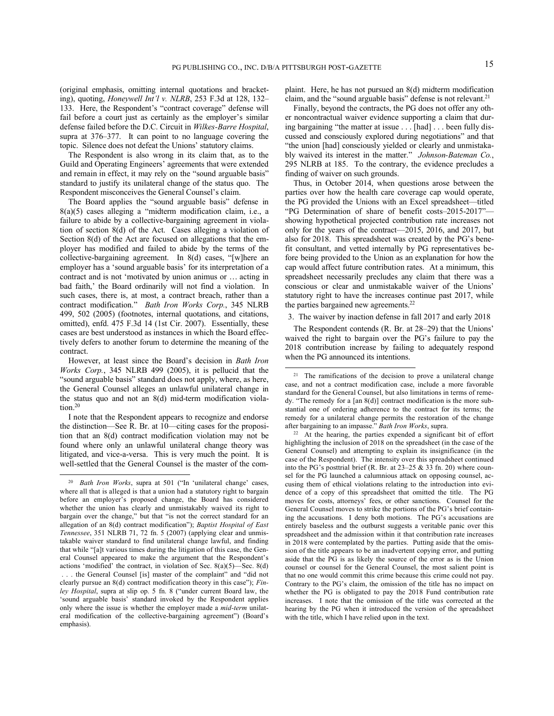(original emphasis, omitting internal quotations and bracketing), quoting, *Honeywell Int'l v. NLRB*, 253 F.3d at 128, 132– 133. Here, the Respondent's "contract coverage" defense will fail before a court just as certainly as the employer's similar defense failed before the D.C. Circuit in *Wilkes-Barre Hospital*, supra at 376–377. It can point to no language covering the topic. Silence does not defeat the Unions' statutory claims.

The Respondent is also wrong in its claim that, as to the Guild and Operating Engineers' agreements that were extended and remain in effect, it may rely on the "sound arguable basis" standard to justify its unilateral change of the status quo. The Respondent misconceives the General Counsel's claim.

The Board applies the "sound arguable basis" defense in 8(a)(5) cases alleging a "midterm modification claim, i.e., a failure to abide by a collective-bargaining agreement in violation of section 8(d) of the Act. Cases alleging a violation of Section 8(d) of the Act are focused on allegations that the employer has modified and failed to abide by the terms of the collective-bargaining agreement. In 8(d) cases, "[w]here an employer has a 'sound arguable basis' for its interpretation of a contract and is not 'motivated by union animus or … acting in bad faith,' the Board ordinarily will not find a violation. In such cases, there is, at most, a contract breach, rather than a contract modification." *Bath Iron Works Corp.*, 345 NLRB 499, 502 (2005) (footnotes, internal quotations, and citations, omitted), enfd. 475 F.3d 14 (1st Cir. 2007). Essentially, these cases are best understood as instances in which the Board effectively defers to another forum to determine the meaning of the contract.

However, at least since the Board's decision in *Bath Iron Works Corp.*, 345 NLRB 499 (2005), it is pellucid that the "sound arguable basis" standard does not apply, where, as here, the General Counsel alleges an unlawful unilateral change in the status quo and not an 8(d) mid-term modification violation. 20

I note that the Respondent appears to recognize and endorse the distinction—See R. Br. at 10—citing cases for the proposition that an 8(d) contract modification violation may not be found where only an unlawful unilateral change theory was litigated, and vice-a-versa. This is very much the point. It is well-settled that the General Counsel is the master of the com-

-

plaint. Here, he has not pursued an 8(d) midterm modification claim, and the "sound arguable basis" defense is not relevant.<sup>21</sup>

Finally, beyond the contracts, the PG does not offer any other noncontractual waiver evidence supporting a claim that during bargaining "the matter at issue . . . [had] . . . been fully discussed and consciously explored during negotiations" and that "the union [had] consciously yielded or clearly and unmistakably waived its interest in the matter." *Johnson-Bateman Co.*, 295 NLRB at 185. To the contrary, the evidence precludes a finding of waiver on such grounds.

Thus, in October 2014, when questions arose between the parties over how the health care coverage cap would operate, the PG provided the Unions with an Excel spreadsheet—titled "PG Determination of share of benefit costs–2015-2017" showing hypothetical projected contribution rate increases not only for the years of the contract—2015, 2016, and 2017, but also for 2018. This spreadsheet was created by the PG's benefit consultant, and vetted internally by PG representatives before being provided to the Union as an explanation for how the cap would affect future contribution rates. At a minimum, this spreadsheet necessarily precludes any claim that there was a conscious or clear and unmistakable waiver of the Unions' statutory right to have the increases continue past 2017, while the parties bargained new agreements.<sup>22</sup>

## 3. The waiver by inaction defense in fall 2017 and early 2018

The Respondent contends (R. Br. at 28–29) that the Unions' waived the right to bargain over the PG's failure to pay the 2018 contribution increase by failing to adequately respond when the PG announced its intentions.

<sup>20</sup>  *Bath Iron Works*, supra at 501 ("In 'unilateral change' cases, where all that is alleged is that a union had a statutory right to bargain before an employer's proposed change, the Board has considered whether the union has clearly and unmistakably waived its right to bargain over the change," but that "is not the correct standard for an allegation of an 8(d) contract modification"); *Baptist Hospital of East Tennessee*, 351 NLRB 71, 72 fn. 5 (2007) (applying clear and unmistakable waiver standard to find unilateral change lawful, and finding that while "[a]t various times during the litigation of this case, the General Counsel appeared to make the argument that the Respondent's actions 'modified' the contract, in violation of Sec.  $8(a)(5)$ —Sec.  $8(d)$ . . . the General Counsel [is] master of the complaint" and "did not clearly pursue an 8(d) contract modification theory in this case"); *Finley Hospital*, supra at slip op. 5 fn. 8 ("under current Board law, the 'sound arguable basis' standard invoked by the Respondent applies only where the issue is whether the employer made a *mid-term* unilateral modification of the collective-bargaining agreement") (Board's emphasis).

<sup>&</sup>lt;sup>21</sup> The ramifications of the decision to prove a unilateral change case, and not a contract modification case, include a more favorable standard for the General Counsel, but also limitations in terms of remedy. "The remedy for a [an 8(d)] contract modification is the more substantial one of ordering adherence to the contract for its terms; the remedy for a unilateral change permits the restoration of the change after bargaining to an impasse." *Bath Iron Works*, supra.

<sup>22</sup> At the hearing, the parties expended a significant bit of effort highlighting the inclusion of 2018 on the spreadsheet (in the case of the General Counsel) and attempting to explain its insignificance (in the case of the Respondent). The intensity over this spreadsheet continued into the PG's posttrial brief (R. Br. at 23–25 & 33 fn. 20) where counsel for the PG launched a calumnious attack on opposing counsel, accusing them of ethical violations relating to the introduction into evidence of a copy of this spreadsheet that omitted the title. The PG moves for costs, attorneys' fees, or other sanctions. Counsel for the General Counsel moves to strike the portions of the PG's brief containing the accusations. I deny both motions. The PG's accusations are entirely baseless and the outburst suggests a veritable panic over this spreadsheet and the admission within it that contribution rate increases in 2018 were contemplated by the parties. Putting aside that the omission of the title appears to be an inadvertent copying error, and putting aside that the PG is as likely the source of the error as is the Union counsel or counsel for the General Counsel, the most salient point is that no one would commit this crime because this crime could not pay. Contrary to the PG's claim, the omission of the title has no impact on whether the PG is obligated to pay the 2018 Fund contribution rate increases. I note that the omission of the title was corrected at the hearing by the PG when it introduced the version of the spreadsheet with the title, which I have relied upon in the text.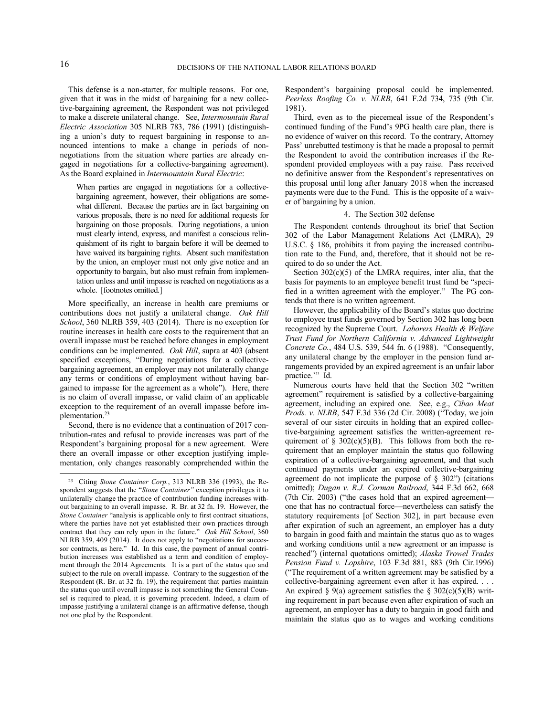This defense is a non-starter, for multiple reasons. For one, given that it was in the midst of bargaining for a new collective-bargaining agreement, the Respondent was not privileged to make a discrete unilateral change. See, *Intermountain Rural Electric Association* 305 NLRB 783, 786 (1991) (distinguishing a union's duty to request bargaining in response to announced intentions to make a change in periods of nonnegotiations from the situation where parties are already engaged in negotiations for a collective-bargaining agreement). As the Board explained in *Intermountain Rural Electric*:

When parties are engaged in negotiations for a collectivebargaining agreement, however, their obligations are somewhat different. Because the parties are in fact bargaining on various proposals, there is no need for additional requests for bargaining on those proposals. During negotiations, a union must clearly intend, express, and manifest a conscious relinquishment of its right to bargain before it will be deemed to have waived its bargaining rights. Absent such manifestation by the union, an employer must not only give notice and an opportunity to bargain, but also must refrain from implementation unless and until impasse is reached on negotiations as a whole. [footnotes omitted.]

More specifically, an increase in health care premiums or contributions does not justify a unilateral change. *Oak Hill School*, 360 NLRB 359, 403 (2014). There is no exception for routine increases in health care costs to the requirement that an overall impasse must be reached before changes in employment conditions can be implemented. *Oak Hill*, supra at 403 (absent specified exceptions, "During negotiations for a collectivebargaining agreement, an employer may not unilaterally change any terms or conditions of employment without having bargained to impasse for the agreement as a whole"). Here, there is no claim of overall impasse, or valid claim of an applicable exception to the requirement of an overall impasse before implementation.<sup>23</sup>

Second, there is no evidence that a continuation of 2017 contribution-rates and refusal to provide increases was part of the Respondent's bargaining proposal for a new agreement. Were there an overall impasse or other exception justifying implementation, only changes reasonably comprehended within the Respondent's bargaining proposal could be implemented. *Peerless Roofing Co. v. NLRB*, 641 F.2d 734, 735 (9th Cir. 1981).

Third, even as to the piecemeal issue of the Respondent's continued funding of the Fund's 9PG health care plan, there is no evidence of waiver on this record. To the contrary, Attorney Pass' unrebutted testimony is that he made a proposal to permit the Respondent to avoid the contribution increases if the Respondent provided employees with a pay raise. Pass received no definitive answer from the Respondent's representatives on this proposal until long after January 2018 when the increased payments were due to the Fund. This is the opposite of a waiver of bargaining by a union.

### 4. The Section 302 defense

The Respondent contends throughout its brief that Section 302 of the Labor Management Relations Act (LMRA), 29 U.S.C. § 186, prohibits it from paying the increased contribution rate to the Fund, and, therefore, that it should not be required to do so under the Act.

Section  $302(c)(5)$  of the LMRA requires, inter alia, that the basis for payments to an employee benefit trust fund be "specified in a written agreement with the employer." The PG contends that there is no written agreement.

However, the applicability of the Board's status quo doctrine to employee trust funds governed by Section 302 has long been recognized by the Supreme Court. *Laborers Health & Welfare Trust Fund for Northern California v. Advanced Lightweight Concrete Co.*, 484 U.S. 539, 544 fn. 6 (1988). "Consequently, any unilateral change by the employer in the pension fund arrangements provided by an expired agreement is an unfair labor practice." Id.

Numerous courts have held that the Section 302 "written agreement" requirement is satisfied by a collective-bargaining agreement, including an expired one. See, e.g., *Cibao Meat Prods. v. NLRB*, 547 F.3d 336 (2d Cir. 2008) ("Today, we join several of our sister circuits in holding that an expired collective-bargaining agreement satisfies the written-agreement requirement of §  $302(c)(5)(B)$ . This follows from both the requirement that an employer maintain the status quo following expiration of a collective-bargaining agreement, and that such continued payments under an expired collective-bargaining agreement do not implicate the purpose of  $\S$  302") (citations omitted); *Dugan v. R.J. Corman Railroad*, 344 F.3d 662, 668 (7th Cir. 2003) ("the cases hold that an expired agreement one that has no contractual force—nevertheless can satisfy the statutory requirements [of Section 302], in part because even after expiration of such an agreement, an employer has a duty to bargain in good faith and maintain the status quo as to wages and working conditions until a new agreement or an impasse is reached") (internal quotations omitted); *Alaska Trowel Trades Pension Fund v. Lopshire*, 103 F.3d 881, 883 (9th Cir.1996) ("The requirement of a written agreement may be satisfied by a collective-bargaining agreement even after it has expired. . . . An expired § 9(a) agreement satisfies the § 302(c)(5)(B) writing requirement in part because even after expiration of such an agreement, an employer has a duty to bargain in good faith and maintain the status quo as to wages and working conditions

<sup>23</sup> Citing *Stone Container Corp.*, 313 NLRB 336 (1993), the Respondent suggests that the "*Stone Container"* exception privileges it to unilaterally change the practice of contribution funding increases without bargaining to an overall impasse. R. Br. at 32 fn. 19. However, the *Stone Container* "analysis is applicable only to first contract situations, where the parties have not yet established their own practices through contract that they can rely upon in the future." *Oak Hill School*, 360 NLRB 359, 409 (2014). It does not apply to "negotiations for successor contracts, as here." Id. In this case, the payment of annual contribution increases was established as a term and condition of employment through the 2014 Agreements. It is a part of the status quo and subject to the rule on overall impasse. Contrary to the suggestion of the Respondent (R. Br. at 32 fn. 19), the requirement that parties maintain the status quo until overall impasse is not something the General Counsel is required to plead, it is governing precedent. Indeed, a claim of impasse justifying a unilateral change is an affirmative defense, though not one pled by the Respondent.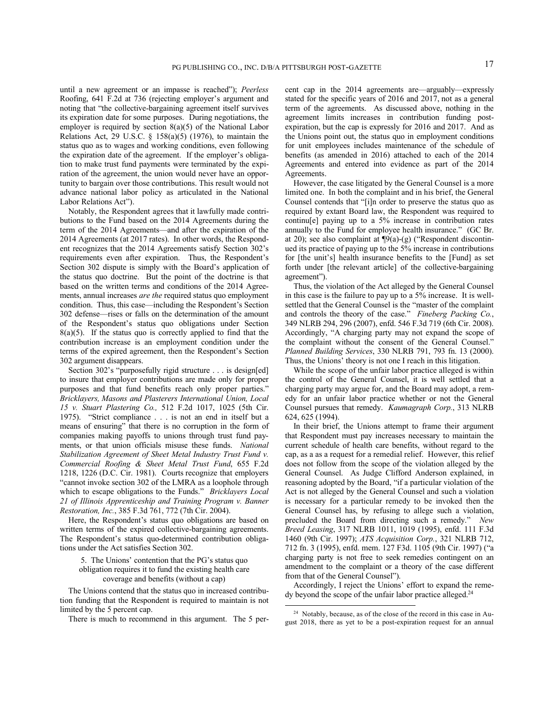until a new agreement or an impasse is reached"); *Peerless*  Roofing, 641 F.2d at 736 (rejecting employer's argument and noting that "the collective-bargaining agreement itself survives its expiration date for some purposes. During negotiations, the employer is required by section  $8(a)(5)$  of the National Labor Relations Act, 29 U.S.C.  $\S$  158(a)(5) (1976), to maintain the status quo as to wages and working conditions, even following the expiration date of the agreement. If the employer's obligation to make trust fund payments were terminated by the expiration of the agreement, the union would never have an opportunity to bargain over those contributions. This result would not advance national labor policy as articulated in the National Labor Relations Act").

Notably, the Respondent agrees that it lawfully made contributions to the Fund based on the 2014 Agreements during the term of the 2014 Agreements—and after the expiration of the 2014 Agreements (at 2017 rates). In other words, the Respondent recognizes that the 2014 Agreements satisfy Section 302's requirements even after expiration. Thus, the Respondent's Section 302 dispute is simply with the Board's application of the status quo doctrine. But the point of the doctrine is that based on the written terms and conditions of the 2014 Agreements, annual increases *are the* required status quo employment condition. Thus, this case—including the Respondent's Section 302 defense—rises or falls on the determination of the amount of the Respondent's status quo obligations under Section  $8(a)(5)$ . If the status quo is correctly applied to find that the contribution increase is an employment condition under the terms of the expired agreement, then the Respondent's Section 302 argument disappears.

Section 302's "purposefully rigid structure . . . is design[ed] to insure that employer contributions are made only for proper purposes and that fund benefits reach only proper parties." *Bricklayers, Masons and Plasterers International Union, Local 15 v. Stuart Plastering Co.,* 512 F.2d 1017, 1025 (5th Cir. 1975). "Strict compliance . . . is not an end in itself but a means of ensuring" that there is no corruption in the form of companies making payoffs to unions through trust fund payments, or that union officials misuse these funds. *National Stabilization Agreement of Sheet Metal Industry Trust Fund v. Commercial Roofing & Sheet Metal Trust Fund*, 655 F.2d 1218, 1226 (D.C. Cir. 1981). Courts recognize that employers "cannot invoke section 302 of the LMRA as a loophole through which to escape obligations to the Funds." *Bricklayers Local 21 of Illinois Apprenticeship and Training Program v. Banner Restoration, Inc.*, 385 F.3d 761, 772 (7th Cir. 2004).

Here, the Respondent's status quo obligations are based on written terms of the expired collective-bargaining agreements. The Respondent's status quo-determined contribution obligations under the Act satisfies Section 302.

5. The Unions' contention that the PG's status quo obligation requires it to fund the existing health care coverage and benefits (without a cap)

The Unions contend that the status quo in increased contribution funding that the Respondent is required to maintain is not limited by the 5 percent cap.

There is much to recommend in this argument. The 5 per-

cent cap in the 2014 agreements are—arguably—expressly stated for the specific years of 2016 and 2017, not as a general term of the agreements. As discussed above, nothing in the agreement limits increases in contribution funding postexpiration, but the cap is expressly for 2016 and 2017. And as the Unions point out, the status quo in employment conditions for unit employees includes maintenance of the schedule of benefits (as amended in 2016) attached to each of the 2014 Agreements and entered into evidence as part of the 2014 Agreements.

However, the case litigated by the General Counsel is a more limited one. In both the complaint and in his brief, the General Counsel contends that "[i]n order to preserve the status quo as required by extant Board law, the Respondent was required to continu[e] paying up to a 5% increase in contribution rates annually to the Fund for employee health insurance." (GC Br. at 20); see also complaint at ¶9(a)-(g) ("Respondent discontinued its practice of paying up to the 5% increase in contributions for [the unit's] health insurance benefits to the [Fund] as set forth under [the relevant article] of the collective-bargaining agreement").

Thus, the violation of the Act alleged by the General Counsel in this case is the failure to pay up to a 5% increase. It is wellsettled that the General Counsel is the "master of the complaint and controls the theory of the case." *Fineberg Packing Co.*, 349 NLRB 294, 296 (2007), enfd. 546 F.3d 719 (6th Cir. 2008). Accordingly, "A charging party may not expand the scope of the complaint without the consent of the General Counsel." *Planned Building Services*, 330 NLRB 791, 793 fn. 13 (2000). Thus, the Unions' theory is not one I reach in this litigation.

While the scope of the unfair labor practice alleged is within the control of the General Counsel, it is well settled that a charging party may argue for, and the Board may adopt, a remedy for an unfair labor practice whether or not the General Counsel pursues that remedy. *Kaumagraph Corp.*, 313 NLRB 624, 625 (1994).

In their brief, the Unions attempt to frame their argument that Respondent must pay increases necessary to maintain the current schedule of health care benefits, without regard to the cap, as a as a request for a remedial relief. However, this relief does not follow from the scope of the violation alleged by the General Counsel. As Judge Clifford Anderson explained, in reasoning adopted by the Board, "if a particular violation of the Act is not alleged by the General Counsel and such a violation is necessary for a particular remedy to be invoked then the General Counsel has, by refusing to allege such a violation, precluded the Board from directing such a remedy." *New Breed Leasing*, 317 NLRB 1011, 1019 (1995), enfd. 111 F.3d 1460 (9th Cir. 1997); *ATS Acquisition Corp.*, 321 NLRB 712, 712 fn. 3 (1995), enfd. mem. 127 F3d. 1105 (9th Cir. 1997) ("a charging party is not free to seek remedies contingent on an amendment to the complaint or a theory of the case different from that of the General Counsel").

Accordingly, I reject the Unions' effort to expand the reme $dy$  beyond the scope of the unfair labor practice alleged.<sup>24</sup>

<sup>24</sup> Notably, because, as of the close of the record in this case in August 2018, there as yet to be a post-expiration request for an annual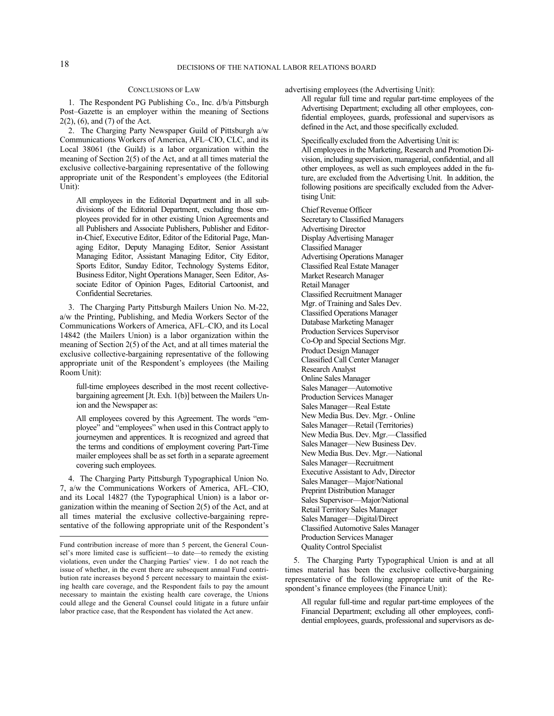## CONCLUSIONS OF LAW

1. The Respondent PG Publishing Co., Inc. d/b/a Pittsburgh Post–Gazette is an employer within the meaning of Sections 2(2), (6), and (7) of the Act.

2. The Charging Party Newspaper Guild of Pittsburgh a/w Communications Workers of America, AFL–CIO, CLC, and its Local 38061 (the Guild) is a labor organization within the meaning of Section 2(5) of the Act, and at all times material the exclusive collective-bargaining representative of the following appropriate unit of the Respondent's employees (the Editorial Unit):

All employees in the Editorial Department and in all subdivisions of the Editorial Department, excluding those employees provided for in other existing Union Agreements and all Publishers and Associate Publishers, Publisher and Editorin-Chief, Executive Editor, Editor of the Editorial Page, Managing Editor, Deputy Managing Editor, Senior Assistant Managing Editor, Assistant Managing Editor, City Editor, Sports Editor, Sunday Editor, Technology Systems Editor, Business Editor, Night Operations Manager, Seen Editor, Associate Editor of Opinion Pages, Editorial Cartoonist, and Confidential Secretaries.

3. The Charging Party Pittsburgh Mailers Union No. M-22, a/w the Printing, Publishing, and Media Workers Sector of the Communications Workers of America, AFL–CIO, and its Local 14842 (the Mailers Union) is a labor organization within the meaning of Section 2(5) of the Act, and at all times material the exclusive collective-bargaining representative of the following appropriate unit of the Respondent's employees (the Mailing Room Unit):

full-time employees described in the most recent collectivebargaining agreement [Jt. Exh. 1(b)] between the Mailers Union and the Newspaper as:

All employees covered by this Agreement. The words "employee" and "employees" when used in this Contract apply to journeymen and apprentices. It is recognized and agreed that the terms and conditions of employment covering Part-Time mailer employees shall be as set forth in a separate agreement covering such employees.

4. The Charging Party Pittsburgh Typographical Union No. 7, a/w the Communications Workers of America, AFL–CIO, and its Local 14827 (the Typographical Union) is a labor organization within the meaning of Section 2(5) of the Act, and at all times material the exclusive collective-bargaining representative of the following appropriate unit of the Respondent's

advertising employees (the Advertising Unit):

All regular full time and regular part-time employees of the Advertising Department; excluding all other employees, confidential employees, guards, professional and supervisors as defined in the Act, and those specifically excluded.

Specifically excluded from the Advertising Unit is: All employees in the Marketing, Research and Promotion Division, including supervision, managerial, confidential, and all other employees, as well as such employees added in the future, are excluded from the Advertising Unit. In addition, the following positions are specifically excluded from the Advertising Unit:

Chief Revenue Officer Secretary to Classified Managers Advertising Director Display Advertising Manager Classified Manager Advertising Operations Manager Classified Real Estate Manager Market Research Manager Retail Manager Classified Recruitment Manager Mgr. of Training and Sales Dev. Classified Operations Manager Database Marketing Manager Production Services Supervisor Co-Op and Special Sections Mgr. Product Design Manager Classified Call Center Manager Research Analyst Online Sales Manager Sales Manager—Automotive Production Services Manager Sales Manager—Real Estate New Media Bus. Dev. Mgr. - Online Sales Manager—Retail (Territories) New Media Bus. Dev. Mgr.—Classified Sales Manager—New Business Dev. New Media Bus. Dev. Mgr.—National Sales Manager—Recruitment Executive Assistant to Adv, Director Sales Manager—Major/National Preprint Distribution Manager Sales Supervisor—Major/National Retail Territory Sales Manager Sales Manager—Digital/Direct Classified Automotive Sales Manager Production Services Manager Quality Control Specialist

5. The Charging Party Typographical Union is and at all times material has been the exclusive collective-bargaining representative of the following appropriate unit of the Respondent's finance employees (the Finance Unit):

All regular full-time and regular part-time employees of the Financial Department; excluding all other employees, confidential employees, guards, professional and supervisors as de-

Fund contribution increase of more than 5 percent, the General Counsel's more limited case is sufficient—to date—to remedy the existing violations, even under the Charging Parties' view. I do not reach the issue of whether, in the event there are subsequent annual Fund contribution rate increases beyond 5 percent necessary to maintain the existing health care coverage, and the Respondent fails to pay the amount necessary to maintain the existing health care coverage, the Unions could allege and the General Counsel could litigate in a future unfair labor practice case, that the Respondent has violated the Act anew.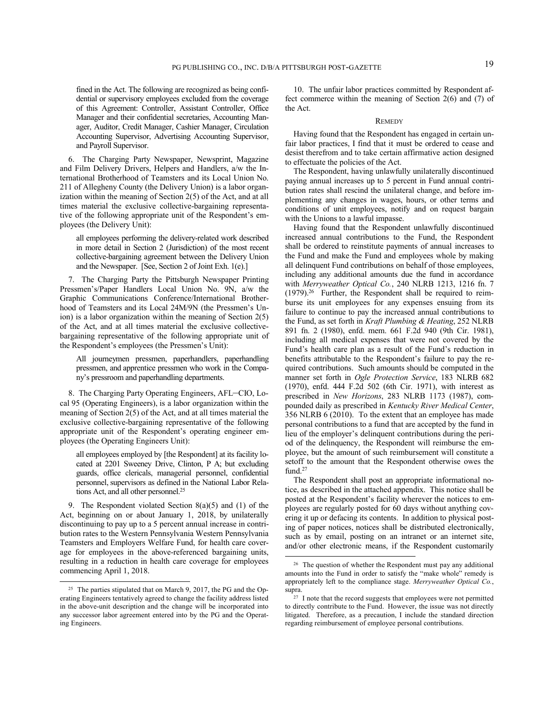fined in the Act. The following are recognized as being confidential or supervisory employees excluded from the coverage of this Agreement: Controller, Assistant Controller, Office Manager and their confidential secretaries, Accounting Manager, Auditor, Credit Manager, Cashier Manager, Circulation Accounting Supervisor, Advertising Accounting Supervisor, and Payroll Supervisor.

6. The Charging Party Newspaper, Newsprint, Magazine and Film Delivery Drivers, Helpers and Handlers, a/w the International Brotherhood of Teamsters and its Local Union No. 211 of Allegheny County (the Delivery Union) is a labor organization within the meaning of Section 2(5) of the Act, and at all times material the exclusive collective-bargaining representative of the following appropriate unit of the Respondent's employees (the Delivery Unit):

all employees performing the delivery-related work described in more detail in Section 2 (Jurisdiction) of the most recent collective-bargaining agreement between the Delivery Union and the Newspaper. [See, Section 2 of Joint Exh. 1(e).]

7. The Charging Party the Pittsburgh Newspaper Printing Pressmen's/Paper Handlers Local Union No. 9N, a/w the Graphic Communications Conference/International Brotherhood of Teamsters and its Local 24M/9N (the Pressmen's Union) is a labor organization within the meaning of Section 2(5) of the Act, and at all times material the exclusive collectivebargaining representative of the following appropriate unit of the Respondent's employees (the Pressmen's Unit):

All journeymen pressmen, paperhandlers, paperhandling pressmen, and apprentice pressmen who work in the Company's pressroom and paperhandling departments.

8. The Charging Party Operating Engineers, AFL–CIO, Local 95 (Operating Engineers), is a labor organization within the meaning of Section 2(5) of the Act, and at all times material the exclusive collective-bargaining representative of the following appropriate unit of the Respondent's operating engineer employees (the Operating Engineers Unit):

all employees employed by [the Respondent] at its facility located at 2201 Sweeney Drive, Clinton, P A; but excluding guards, office clericals, managerial personnel, confidential personnel, supervisors as defined in the National Labor Relations Act, and all other personnel.<sup>25</sup>

9. The Respondent violated Section 8(a)(5) and (1) of the Act, beginning on or about January 1, 2018, by unilaterally discontinuing to pay up to a 5 percent annual increase in contribution rates to the Western Pennsylvania Western Pennsylvania Teamsters and Employers Welfare Fund, for health care coverage for employees in the above-referenced bargaining units, resulting in a reduction in health care coverage for employees commencing April 1, 2018.

-

10. The unfair labor practices committed by Respondent affect commerce within the meaning of Section 2(6) and (7) of the Act.

#### **REMEDY**

Having found that the Respondent has engaged in certain unfair labor practices, I find that it must be ordered to cease and desist therefrom and to take certain affirmative action designed to effectuate the policies of the Act.

The Respondent, having unlawfully unilaterally discontinued paying annual increases up to 5 percent in Fund annual contribution rates shall rescind the unilateral change, and before implementing any changes in wages, hours, or other terms and conditions of unit employees, notify and on request bargain with the Unions to a lawful impasse.

Having found that the Respondent unlawfully discontinued increased annual contributions to the Fund, the Respondent shall be ordered to reinstitute payments of annual increases to the Fund and make the Fund and employees whole by making all delinquent Fund contributions on behalf of those employees, including any additional amounts due the fund in accordance with *Merryweather Optical Co.*, 240 NLRB 1213, 1216 fn. 7  $(1979).^{26}$  Further, the Respondent shall be required to reimburse its unit employees for any expenses ensuing from its failure to continue to pay the increased annual contributions to the Fund, as set forth in *Kraft Plumbing & Heating*, 252 NLRB 891 fn. 2 (1980), enfd. mem. 661 F.2d 940 (9th Cir. 1981), including all medical expenses that were not covered by the Fund's health care plan as a result of the Fund's reduction in benefits attributable to the Respondent's failure to pay the required contributions. Such amounts should be computed in the manner set forth in *Ogle Protection Service*, 183 NLRB 682 (1970), enfd. 444 F.2d 502 (6th Cir. 1971), with interest as prescribed in *New Horizons*, 283 NLRB 1173 (1987), compounded daily as prescribed in *Kentucky River Medical Center*, 356 NLRB 6 (2010). To the extent that an employee has made personal contributions to a fund that are accepted by the fund in lieu of the employer's delinquent contributions during the period of the delinquency, the Respondent will reimburse the employee, but the amount of such reimbursement will constitute a setoff to the amount that the Respondent otherwise owes the fund.<sup>27</sup>

The Respondent shall post an appropriate informational notice, as described in the attached appendix. This notice shall be posted at the Respondent's facility wherever the notices to employees are regularly posted for 60 days without anything covering it up or defacing its contents. In addition to physical posting of paper notices, notices shall be distributed electronically, such as by email, posting on an intranet or an internet site, and/or other electronic means, if the Respondent customarily

<sup>&</sup>lt;sup>25</sup> The parties stipulated that on March 9, 2017, the PG and the Operating Engineers tentatively agreed to change the facility address listed in the above-unit description and the change will be incorporated into any successor labor agreement entered into by the PG and the Operating Engineers.

<sup>&</sup>lt;sup>26</sup> The question of whether the Respondent must pay any additional amounts into the Fund in order to satisfy the "make whole" remedy is appropriately left to the compliance stage. *Merryweather Optical Co.*, supra. 27 I note that the record suggests that employees were not permitted

to directly contribute to the Fund. However, the issue was not directly litigated. Therefore, as a precaution, I include the standard direction regarding reimbursement of employee personal contributions.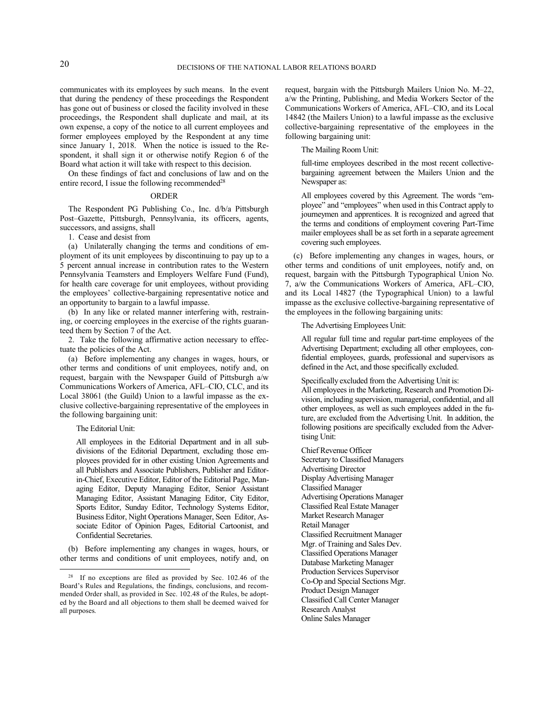communicates with its employees by such means. In the event that during the pendency of these proceedings the Respondent has gone out of business or closed the facility involved in these proceedings, the Respondent shall duplicate and mail, at its own expense, a copy of the notice to all current employees and former employees employed by the Respondent at any time since January 1, 2018. When the notice is issued to the Respondent, it shall sign it or otherwise notify Region 6 of the Board what action it will take with respect to this decision.

On these findings of fact and conclusions of law and on the entire record, I issue the following recommended<sup>28</sup>

## ORDER

The Respondent PG Publishing Co., Inc. d/b/a Pittsburgh Post–Gazette, Pittsburgh, Pennsylvania, its officers, agents, successors, and assigns, shall

1. Cease and desist from

(a) Unilaterally changing the terms and conditions of employment of its unit employees by discontinuing to pay up to a 5 percent annual increase in contribution rates to the Western Pennsylvania Teamsters and Employers Welfare Fund (Fund), for health care coverage for unit employees, without providing the employees' collective-bargaining representative notice and an opportunity to bargain to a lawful impasse.

(b) In any like or related manner interfering with, restraining, or coercing employees in the exercise of the rights guaranteed them by Section 7 of the Act.

2. Take the following affirmative action necessary to effectuate the policies of the Act.

(a) Before implementing any changes in wages, hours, or other terms and conditions of unit employees, notify and, on request, bargain with the Newspaper Guild of Pittsburgh a/w Communications Workers of America, AFL–CIO, CLC, and its Local 38061 (the Guild) Union to a lawful impasse as the exclusive collective-bargaining representative of the employees in the following bargaining unit:

The Editorial Unit:

-

All employees in the Editorial Department and in all subdivisions of the Editorial Department, excluding those employees provided for in other existing Union Agreements and all Publishers and Associate Publishers, Publisher and Editorin-Chief, Executive Editor, Editor of the Editorial Page, Managing Editor, Deputy Managing Editor, Senior Assistant Managing Editor, Assistant Managing Editor, City Editor, Sports Editor, Sunday Editor, Technology Systems Editor, Business Editor, Night Operations Manager, Seen Editor, Associate Editor of Opinion Pages, Editorial Cartoonist, and Confidential Secretaries.

(b) Before implementing any changes in wages, hours, or other terms and conditions of unit employees, notify and, on request, bargain with the Pittsburgh Mailers Union No. M–22, a/w the Printing, Publishing, and Media Workers Sector of the Communications Workers of America, AFL–CIO, and its Local 14842 (the Mailers Union) to a lawful impasse as the exclusive collective-bargaining representative of the employees in the following bargaining unit:

The Mailing Room Unit:

full-time employees described in the most recent collectivebargaining agreement between the Mailers Union and the Newspaper as:

All employees covered by this Agreement. The words "employee" and "employees" when used in this Contract apply to journeymen and apprentices. It is recognized and agreed that the terms and conditions of employment covering Part-Time mailer employees shall be as set forth in a separate agreement covering such employees.

(c) Before implementing any changes in wages, hours, or other terms and conditions of unit employees, notify and, on request, bargain with the Pittsburgh Typographical Union No. 7, a/w the Communications Workers of America, AFL–CIO, and its Local 14827 (the Typographical Union) to a lawful impasse as the exclusive collective-bargaining representative of the employees in the following bargaining units:

The Advertising Employees Unit:

All regular full time and regular part-time employees of the Advertising Department; excluding all other employees, confidential employees, guards, professional and supervisors as defined in the Act, and those specifically excluded.

Specifically excluded from the Advertising Unit is: All employees in the Marketing, Research and Promotion Di-

vision, including supervision, managerial, confidential, and all other employees, as well as such employees added in the future, are excluded from the Advertising Unit. In addition, the following positions are specifically excluded from the Advertising Unit:

Chief Revenue Officer Secretary to Classified Managers Advertising Director Display Advertising Manager Classified Manager Advertising Operations Manager Classified Real Estate Manager Market Research Manager Retail Manager Classified Recruitment Manager Mgr. of Training and Sales Dev. Classified Operations Manager Database Marketing Manager Production Services Supervisor Co-Op and Special Sections Mgr. Product Design Manager Classified Call Center Manager Research Analyst Online Sales Manager

<sup>&</sup>lt;sup>28</sup> If no exceptions are filed as provided by Sec. 102.46 of the Board's Rules and Regulations, the findings, conclusions, and recommended Order shall, as provided in Sec. 102.48 of the Rules, be adopted by the Board and all objections to them shall be deemed waived for all purposes.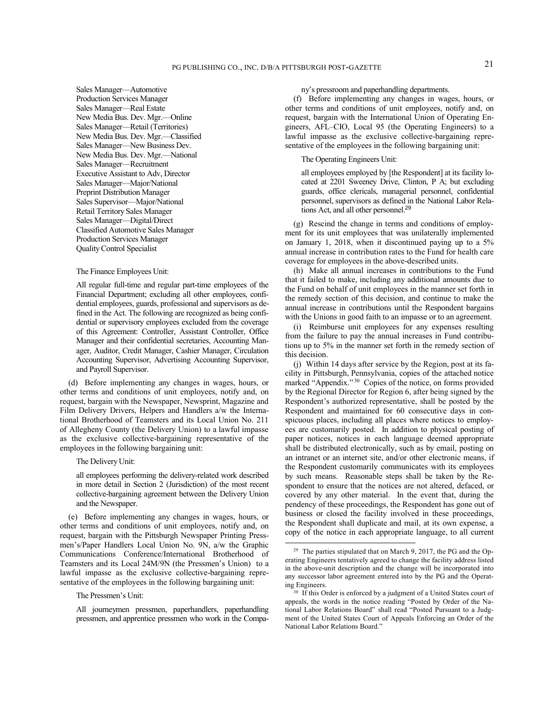Sales Manager—Automotive Production Services Manager Sales Manager—Real Estate New Media Bus. Dev. Mgr.—Online Sales Manager—Retail (Territories) New Media Bus. Dev. Mgr.—Classified Sales Manager—New Business Dev. New Media Bus. Dev. Mgr.—National Sales Manager—Recruitment Executive Assistant to Adv, Director Sales Manager—Major/National Preprint Distribution Manager Sales Supervisor—Major/National Retail Territory Sales Manager Sales Manager—Digital/Direct Classified Automotive Sales Manager Production Services Manager Quality Control Specialist

### The Finance Employees Unit:

All regular full-time and regular part-time employees of the Financial Department; excluding all other employees, confidential employees, guards, professional and supervisors as defined in the Act. The following are recognized as being confidential or supervisory employees excluded from the coverage of this Agreement: Controller, Assistant Controller, Office Manager and their confidential secretaries, Accounting Manager, Auditor, Credit Manager, Cashier Manager, Circulation Accounting Supervisor, Advertising Accounting Supervisor, and Payroll Supervisor.

(d) Before implementing any changes in wages, hours, or other terms and conditions of unit employees, notify and, on request, bargain with the Newspaper, Newsprint, Magazine and Film Delivery Drivers, Helpers and Handlers a/w the International Brotherhood of Teamsters and its Local Union No. 211 of Allegheny County (the Delivery Union) to a lawful impasse as the exclusive collective-bargaining representative of the employees in the following bargaining unit:

## The Delivery Unit:

all employees performing the delivery-related work described in more detail in Section 2 (Jurisdiction) of the most recent collective-bargaining agreement between the Delivery Union and the Newspaper.

(e) Before implementing any changes in wages, hours, or other terms and conditions of unit employees, notify and, on request, bargain with the Pittsburgh Newspaper Printing Pressmen's/Paper Handlers Local Union No. 9N, a/w the Graphic Communications Conference/International Brotherhood of Teamsters and its Local 24M/9N (the Pressmen's Union) to a lawful impasse as the exclusive collective-bargaining representative of the employees in the following bargaining unit:

### The Pressmen's Unit:

All journeymen pressmen, paperhandlers, paperhandling pressmen, and apprentice pressmen who work in the Compa-

## ny's pressroom and paperhandling departments.

(f) Before implementing any changes in wages, hours, or other terms and conditions of unit employees, notify and, on request, bargain with the International Union of Operating Engineers, AFL–CIO, Local 95 (the Operating Engineers) to a lawful impasse as the exclusive collective-bargaining representative of the employees in the following bargaining unit:

# The Operating Engineers Unit:

all employees employed by [the Respondent] at its facility located at 2201 Sweeney Drive, Clinton, P A; but excluding guards, office clericals, managerial personnel, confidential personnel, supervisors as defined in the National Labor Relations Act, and all other personnel.<sup>29</sup>

(g) Rescind the change in terms and conditions of employment for its unit employees that was unilaterally implemented on January 1, 2018, when it discontinued paying up to a 5% annual increase in contribution rates to the Fund for health care coverage for employees in the above-described units.

(h) Make all annual increases in contributions to the Fund that it failed to make, including any additional amounts due to the Fund on behalf of unit employees in the manner set forth in the remedy section of this decision, and continue to make the annual increase in contributions until the Respondent bargains with the Unions in good faith to an impasse or to an agreement.

(i) Reimburse unit employees for any expenses resulting from the failure to pay the annual increases in Fund contributions up to 5% in the manner set forth in the remedy section of this decision.

(j) Within 14 days after service by the Region, post at its facility in Pittsburgh, Pennsylvania, copies of the attached notice marked "Appendix."<sup>30</sup> Copies of the notice, on forms provided by the Regional Director for Region 6, after being signed by the Respondent's authorized representative, shall be posted by the Respondent and maintained for 60 consecutive days in conspicuous places, including all places where notices to employees are customarily posted. In addition to physical posting of paper notices, notices in each language deemed appropriate shall be distributed electronically, such as by email, posting on an intranet or an internet site, and/or other electronic means, if the Respondent customarily communicates with its employees by such means. Reasonable steps shall be taken by the Respondent to ensure that the notices are not altered, defaced, or covered by any other material. In the event that, during the pendency of these proceedings, the Respondent has gone out of business or closed the facility involved in these proceedings, the Respondent shall duplicate and mail, at its own expense, a copy of the notice in each appropriate language, to all current

<sup>&</sup>lt;sup>29</sup> The parties stipulated that on March 9, 2017, the PG and the Operating Engineers tentatively agreed to change the facility address listed in the above-unit description and the change will be incorporated into any successor labor agreement entered into by the PG and the Operating Engineers.

<sup>&</sup>lt;sup>30</sup> If this Order is enforced by a judgment of a United States court of appeals, the words in the notice reading "Posted by Order of the National Labor Relations Board" shall read "Posted Pursuant to a Judgment of the United States Court of Appeals Enforcing an Order of the National Labor Relations Board."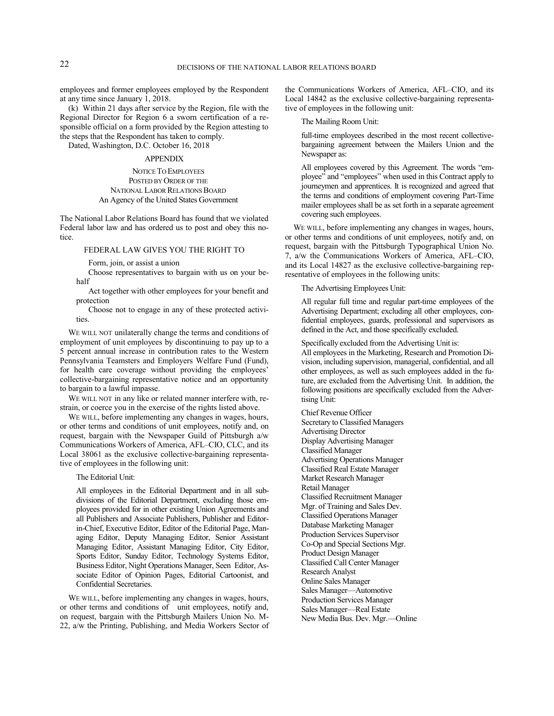employees and former employees employed by the Respondent at any time since January 1, 2018.

(k) Within 21 days after service by the Region, file with the Regional Director for Region 6 a sworn certification of a responsible official on a form provided by the Region attesting to the steps that the Respondent has taken to comply.

Dated, Washington, D.C. October 16, 2018

# APPENDIX

## NOTICE TO EMPLOYEES POSTED BY ORDER OF THE NATIONAL LABOR RELATIONS BOARD An Agency of the United States Government

The National Labor Relations Board has found that we violated Federal labor law and has ordered us to post and obey this notice.

## FEDERAL LAW GIVES YOU THE RIGHT TO

Form, join, or assist a union

Choose representatives to bargain with us on your behalf

Act together with other employees for your benefit and protection

Choose not to engage in any of these protected activities.

WE WILL NOT unilaterally change the terms and conditions of employment of unit employees by discontinuing to pay up to a 5 percent annual increase in contribution rates to the Western Pennsylvania Teamsters and Employers Welfare Fund (Fund), for health care coverage without providing the employees' collective-bargaining representative notice and an opportunity to bargain to a lawful impasse.

WE WILL NOT in any like or related manner interfere with, restrain, or coerce you in the exercise of the rights listed above.

WE WILL, before implementing any changes in wages, hours, or other terms and conditions of unit employees, notify and, on request, bargain with the Newspaper Guild of Pittsburgh a/w Communications Workers of America, AFL–CIO, CLC, and its Local 38061 as the exclusive collective-bargaining representative of employees in the following unit:

The Editorial Unit:

All employees in the Editorial Department and in all subdivisions of the Editorial Department, excluding those employees provided for in other existing Union Agreements and all Publishers and Associate Publishers, Publisher and Editorin-Chief, Executive Editor, Editor of the Editorial Page, Managing Editor, Deputy Managing Editor, Senior Assistant Managing Editor, Assistant Managing Editor, City Editor, Sports Editor, Sunday Editor, Technology Systems Editor, Business Editor, Night Operations Manager, Seen Editor, Associate Editor of Opinion Pages, Editorial Cartoonist, and Confidential Secretaries.

WE WILL, before implementing any changes in wages, hours, or other terms and conditions of unit employees, notify and, on request, bargain with the Pittsburgh Mailers Union No. M-22, a/w the Printing, Publishing, and Media Workers Sector of the Communications Workers of America, AFL–CIO, and its Local 14842 as the exclusive collective-bargaining representative of employees in the following unit:

The Mailing Room Unit:

full-time employees described in the most recent collectivebargaining agreement between the Mailers Union and the Newspaper as:

All employees covered by this Agreement. The words "employee" and "employees" when used in this Contract apply to journeymen and apprentices. It is recognized and agreed that the terms and conditions of employment covering Part-Time mailer employees shall be as set forth in a separate agreement covering such employees.

WE WILL, before implementing any changes in wages, hours, or other terms and conditions of unit employees, notify and, on request, bargain with the Pittsburgh Typographical Union No. 7, a/w the Communications Workers of America, AFL–CIO, and its Local 14827 as the exclusive collective-bargaining representative of employees in the following units:

The Advertising Employees Unit:

All regular full time and regular part-time employees of the Advertising Department; excluding all other employees, confidential employees, guards, professional and supervisors as defined in the Act, and those specifically excluded.

Specifically excluded from the Advertising Unit is:

All employees in the Marketing, Research and Promotion Division, including supervision, managerial, confidential, and all other employees, as well as such employees added in the future, are excluded from the Advertising Unit. In addition, the following positions are specifically excluded from the Advertising Unit:

Chief Revenue Officer Secretary to Classified Managers Advertising Director Display Advertising Manager Classified Manager Advertising Operations Manager Classified Real Estate Manager Market Research Manager Retail Manager Classified Recruitment Manager Mgr. of Training and Sales Dev. Classified Operations Manager Database Marketing Manager Production Services Supervisor Co-Op and Special Sections Mgr. Product Design Manager Classified Call Center Manager Research Analyst Online Sales Manager Sales Manager—Automotive Production Services Manager Sales Manager—Real Estate New Media Bus. Dev. Mgr.—Online